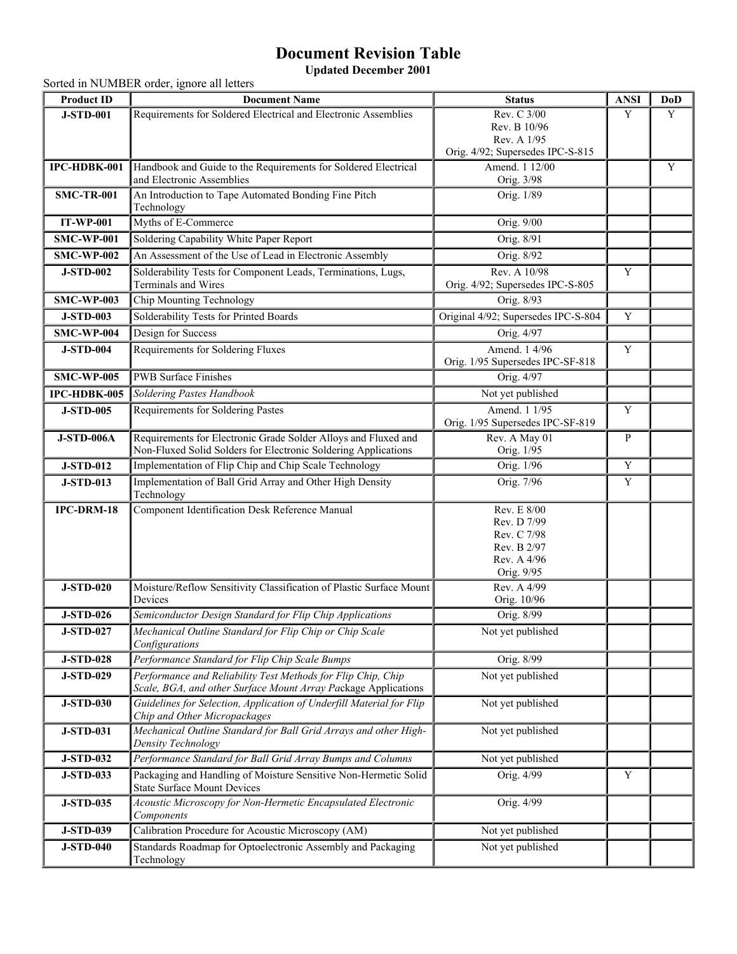## **Document Revision Table**

**Updated December 2001**

Sorted in NUMBER order, ignore all letters

| <b>Product ID</b> | <b>Document Name</b>                                                                                                           | <b>Status</b>                                                                         | <b>ANSI</b> | DoD |
|-------------------|--------------------------------------------------------------------------------------------------------------------------------|---------------------------------------------------------------------------------------|-------------|-----|
| <b>J-STD-001</b>  | Requirements for Soldered Electrical and Electronic Assemblies                                                                 | Rev. C 3/00                                                                           | Y           | Y   |
|                   |                                                                                                                                | Rev. B 10/96                                                                          |             |     |
|                   |                                                                                                                                | Rev. A 1/95                                                                           |             |     |
|                   |                                                                                                                                | Orig. 4/92; Supersedes IPC-S-815                                                      |             |     |
| IPC-HDBK-001      | Handbook and Guide to the Requirements for Soldered Electrical<br>and Electronic Assemblies                                    | Amend. 1 12/00<br>Orig. 3/98                                                          |             | Y   |
| <b>SMC-TR-001</b> | An Introduction to Tape Automated Bonding Fine Pitch<br>Technology                                                             | Orig. 1/89                                                                            |             |     |
| <b>IT-WP-001</b>  | Myths of E-Commerce                                                                                                            | Orig. 9/00                                                                            |             |     |
| <b>SMC-WP-001</b> | Soldering Capability White Paper Report                                                                                        | Orig. 8/91                                                                            |             |     |
| <b>SMC-WP-002</b> | An Assessment of the Use of Lead in Electronic Assembly                                                                        | Orig. 8/92                                                                            |             |     |
| <b>J-STD-002</b>  | Solderability Tests for Component Leads, Terminations, Lugs,<br>Terminals and Wires                                            | Rev. A 10/98<br>Orig. 4/92; Supersedes IPC-S-805                                      | Y           |     |
| <b>SMC-WP-003</b> | Chip Mounting Technology                                                                                                       | Orig. 8/93                                                                            |             |     |
| <b>J-STD-003</b>  | Solderability Tests for Printed Boards                                                                                         | Original 4/92; Supersedes IPC-S-804                                                   | Y           |     |
|                   | Design for Success                                                                                                             | Orig. 4/97                                                                            |             |     |
| <b>SMC-WP-004</b> |                                                                                                                                |                                                                                       |             |     |
| <b>J-STD-004</b>  | Requirements for Soldering Fluxes                                                                                              | Amend. 1 4/96<br>Orig. 1/95 Supersedes IPC-SF-818                                     | Y           |     |
| <b>SMC-WP-005</b> | <b>PWB</b> Surface Finishes                                                                                                    | Orig. 4/97                                                                            |             |     |
| IPC-HDBK-005      | Soldering Pastes Handbook                                                                                                      | Not yet published                                                                     |             |     |
| <b>J-STD-005</b>  | Requirements for Soldering Pastes                                                                                              | Amend. 1 1/95                                                                         | Y           |     |
|                   |                                                                                                                                | Orig. 1/95 Supersedes IPC-SF-819                                                      |             |     |
| <b>J-STD-006A</b> | Requirements for Electronic Grade Solder Alloys and Fluxed and                                                                 | Rev. A May 01                                                                         | P           |     |
|                   | Non-Fluxed Solid Solders for Electronic Soldering Applications                                                                 | Orig. 1/95                                                                            |             |     |
| <b>J-STD-012</b>  | Implementation of Flip Chip and Chip Scale Technology                                                                          | Orig. 1/96                                                                            | Y           |     |
| <b>J-STD-013</b>  | Implementation of Ball Grid Array and Other High Density<br>Technology                                                         | Orig. 7/96                                                                            | Y           |     |
| IPC-DRM-18        | Component Identification Desk Reference Manual                                                                                 | Rev. E 8/00<br>Rev. D 7/99<br>Rev. C 7/98<br>Rev. B 2/97<br>Rev. A 4/96<br>Orig. 9/95 |             |     |
| <b>J-STD-020</b>  | Moisture/Reflow Sensitivity Classification of Plastic Surface Mount<br>Devices                                                 | Rev. A 4/99<br>Orig. 10/96                                                            |             |     |
| <b>J-STD-026</b>  | Semiconductor Design Standard for Flip Chip Applications                                                                       | Orig. 8/99                                                                            |             |     |
| <b>J-STD-027</b>  | Mechanical Outline Standard for Flip Chip or Chip Scale<br>Configurations                                                      | Not yet published                                                                     |             |     |
| <b>J-STD-028</b>  | Performance Standard for Flip Chip Scale Bumps                                                                                 | Orig. 8/99                                                                            |             |     |
| <b>J-STD-029</b>  | Performance and Reliability Test Methods for Flip Chip, Chip<br>Scale, BGA, and other Surface Mount Array Package Applications | Not yet published                                                                     |             |     |
| <b>J-STD-030</b>  | Guidelines for Selection, Application of Underfill Material for Flip<br>Chip and Other Micropackages                           | Not yet published                                                                     |             |     |
| <b>J-STD-031</b>  | Mechanical Outline Standard for Ball Grid Arrays and other High-<br>Density Technology                                         | Not yet published                                                                     |             |     |
| <b>J-STD-032</b>  | Performance Standard for Ball Grid Array Bumps and Columns                                                                     | Not yet published                                                                     |             |     |
| <b>J-STD-033</b>  | Packaging and Handling of Moisture Sensitive Non-Hermetic Solid<br><b>State Surface Mount Devices</b>                          | Orig. 4/99                                                                            | Y           |     |
| <b>J-STD-035</b>  | Acoustic Microscopy for Non-Hermetic Encapsulated Electronic<br>Components                                                     | Orig. 4/99                                                                            |             |     |
| <b>J-STD-039</b>  | Calibration Procedure for Acoustic Microscopy (AM)                                                                             | Not yet published                                                                     |             |     |
| <b>J-STD-040</b>  | Standards Roadmap for Optoelectronic Assembly and Packaging<br>Technology                                                      | Not yet published                                                                     |             |     |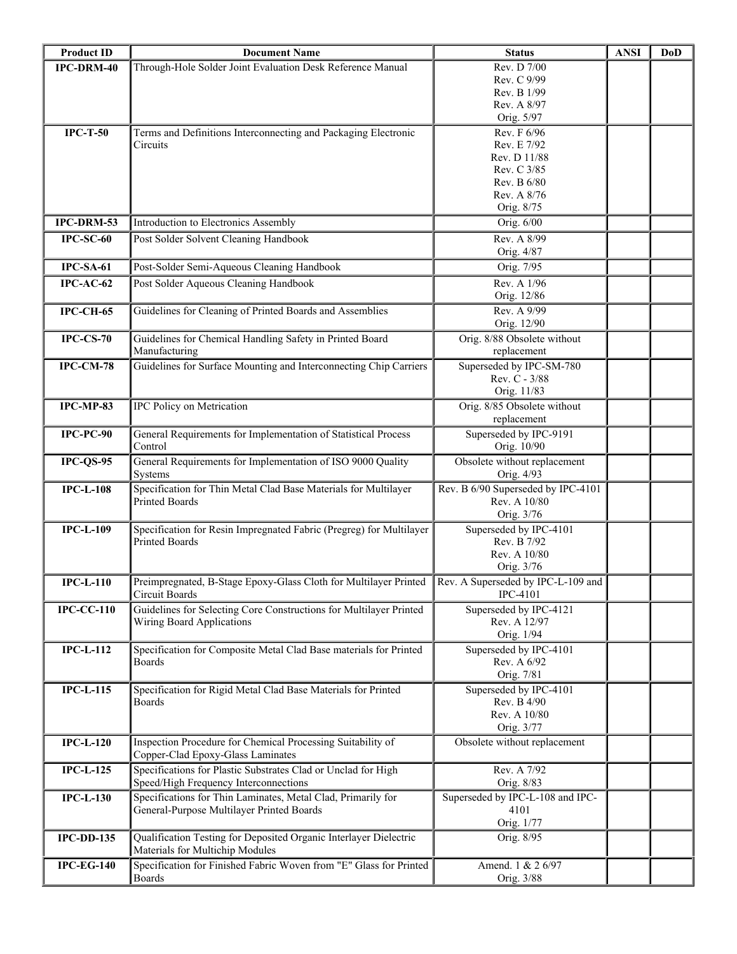| Through-Hole Solder Joint Evaluation Desk Reference Manual<br>Rev. D 7/00<br>IPC-DRM-40<br>Rev. C 9/99<br>Rev. B 1/99<br>Rev. A 8/97<br>Orig. 5/97<br>Rev. F 6/96<br>$IPC-T-50$<br>Terms and Definitions Interconnecting and Packaging Electronic<br>Rev. E 7/92<br>Circuits<br>Rev. D 11/88<br>Rev. C 3/85<br>Rev. B 6/80<br>Rev. A 8/76<br>Orig. 8/75<br>IPC-DRM-53<br>Orig. 6/00<br>Introduction to Electronics Assembly<br>Post Solder Solvent Cleaning Handbook<br>Rev. A 8/99<br>$IPC-SC-60$<br>Orig. 4/87<br>$IPC$ -SA-61<br>Post-Solder Semi-Aqueous Cleaning Handbook<br>Orig. 7/95<br>Post Solder Aqueous Cleaning Handbook<br>Rev. A 1/96<br>$IPC-AC-62$<br>Orig. 12/86<br>Guidelines for Cleaning of Printed Boards and Assemblies<br>Rev. A 9/99<br><b>IPC-CH-65</b><br>Orig. 12/90<br>Guidelines for Chemical Handling Safety in Printed Board<br>Orig. 8/88 Obsolete without<br>$IPC-CS-70$<br>Manufacturing<br>replacement<br>Superseded by IPC-SM-780<br><b>IPC-CM-78</b><br>Guidelines for Surface Mounting and Interconnecting Chip Carriers<br>Rev. C - 3/88<br>Orig. 11/83<br>IPC-MP-83<br>IPC Policy on Metrication<br>Orig. 8/85 Obsolete without<br>replacement<br>General Requirements for Implementation of Statistical Process<br>Superseded by IPC-9191<br>$IPC$ - $PC$ - $90$<br>Control<br>Orig. 10/90<br>General Requirements for Implementation of ISO 9000 Quality<br>Obsolete without replacement<br>$IPC-QS-95$<br>Orig. 4/93<br>Systems<br>Specification for Thin Metal Clad Base Materials for Multilayer<br>Rev. B 6/90 Superseded by IPC-4101<br><b>IPC-L-108</b><br>Rev. A 10/80<br><b>Printed Boards</b><br>Orig. 3/76<br><b>IPC-L-109</b><br>Specification for Resin Impregnated Fabric (Pregreg) for Multilayer<br>Superseded by IPC-4101<br><b>Printed Boards</b><br>Rev. B 7/92<br>Rev. A 10/80<br>Orig. 3/76<br>Preimpregnated, B-Stage Epoxy-Glass Cloth for Multilayer Printed Rev. A Superseded by IPC-L-109 and<br>$IPC-L-110$<br>Circuit Boards<br><b>IPC-4101</b><br><b>IPC-CC-110</b><br>Guidelines for Selecting Core Constructions for Multilayer Printed<br>Superseded by IPC-4121<br>Rev. A 12/97<br>Wiring Board Applications<br>Orig. 1/94<br><b>IPC-L-112</b><br>Specification for Composite Metal Clad Base materials for Printed<br>Superseded by IPC-4101<br><b>Boards</b><br>Rev. A 6/92<br>Orig. 7/81<br>Specification for Rigid Metal Clad Base Materials for Printed<br>Superseded by IPC-4101<br><b>IPC-L-115</b><br>Rev. B 4/90<br><b>Boards</b><br>Rev. A 10/80<br>Orig. 3/77<br>$IPC-L-120$<br>Inspection Procedure for Chemical Processing Suitability of<br>Obsolete without replacement<br>Copper-Clad Epoxy-Glass Laminates<br><b>IPC-L-125</b><br>Specifications for Plastic Substrates Clad or Unclad for High<br>Rev. A 7/92<br>Speed/High Frequency Interconnections<br>Orig. 8/83<br><b>IPC-L-130</b><br>Specifications for Thin Laminates, Metal Clad, Primarily for<br>Superseded by IPC-L-108 and IPC-<br>General-Purpose Multilayer Printed Boards<br>4101<br>Orig. 1/77<br><b>IPC-DD-135</b><br>Qualification Testing for Deposited Organic Interlayer Dielectric<br>Orig. 8/95<br>Materials for Multichip Modules<br>Specification for Finished Fabric Woven from "E" Glass for Printed<br><b>IPC-EG-140</b><br>Amend. 1 & 2 6/97<br><b>Boards</b><br>Orig. 3/88 | <b>Product ID</b> | <b>Document Name</b> | <b>Status</b> | <b>ANSI</b> | DoD |
|--------------------------------------------------------------------------------------------------------------------------------------------------------------------------------------------------------------------------------------------------------------------------------------------------------------------------------------------------------------------------------------------------------------------------------------------------------------------------------------------------------------------------------------------------------------------------------------------------------------------------------------------------------------------------------------------------------------------------------------------------------------------------------------------------------------------------------------------------------------------------------------------------------------------------------------------------------------------------------------------------------------------------------------------------------------------------------------------------------------------------------------------------------------------------------------------------------------------------------------------------------------------------------------------------------------------------------------------------------------------------------------------------------------------------------------------------------------------------------------------------------------------------------------------------------------------------------------------------------------------------------------------------------------------------------------------------------------------------------------------------------------------------------------------------------------------------------------------------------------------------------------------------------------------------------------------------------------------------------------------------------------------------------------------------------------------------------------------------------------------------------------------------------------------------------------------------------------------------------------------------------------------------------------------------------------------------------------------------------------------------------------------------------------------------------------------------------------------------------------------------------------------------------------------------------------------------------------------------------------------------------------------------------------------------------------------------------------------------------------------------------------------------------------------------------------------------------------------------------------------------------------------------------------------------------------------------------------------------------------------------------------------------------------------------------------------------------------------------------------------------------------------------------------------------------------------------------------------------------------------------------------------------------------------------------------------------------------------------------|-------------------|----------------------|---------------|-------------|-----|
|                                                                                                                                                                                                                                                                                                                                                                                                                                                                                                                                                                                                                                                                                                                                                                                                                                                                                                                                                                                                                                                                                                                                                                                                                                                                                                                                                                                                                                                                                                                                                                                                                                                                                                                                                                                                                                                                                                                                                                                                                                                                                                                                                                                                                                                                                                                                                                                                                                                                                                                                                                                                                                                                                                                                                                                                                                                                                                                                                                                                                                                                                                                                                                                                                                                                                                                                                        |                   |                      |               |             |     |
|                                                                                                                                                                                                                                                                                                                                                                                                                                                                                                                                                                                                                                                                                                                                                                                                                                                                                                                                                                                                                                                                                                                                                                                                                                                                                                                                                                                                                                                                                                                                                                                                                                                                                                                                                                                                                                                                                                                                                                                                                                                                                                                                                                                                                                                                                                                                                                                                                                                                                                                                                                                                                                                                                                                                                                                                                                                                                                                                                                                                                                                                                                                                                                                                                                                                                                                                                        |                   |                      |               |             |     |
|                                                                                                                                                                                                                                                                                                                                                                                                                                                                                                                                                                                                                                                                                                                                                                                                                                                                                                                                                                                                                                                                                                                                                                                                                                                                                                                                                                                                                                                                                                                                                                                                                                                                                                                                                                                                                                                                                                                                                                                                                                                                                                                                                                                                                                                                                                                                                                                                                                                                                                                                                                                                                                                                                                                                                                                                                                                                                                                                                                                                                                                                                                                                                                                                                                                                                                                                                        |                   |                      |               |             |     |
|                                                                                                                                                                                                                                                                                                                                                                                                                                                                                                                                                                                                                                                                                                                                                                                                                                                                                                                                                                                                                                                                                                                                                                                                                                                                                                                                                                                                                                                                                                                                                                                                                                                                                                                                                                                                                                                                                                                                                                                                                                                                                                                                                                                                                                                                                                                                                                                                                                                                                                                                                                                                                                                                                                                                                                                                                                                                                                                                                                                                                                                                                                                                                                                                                                                                                                                                                        |                   |                      |               |             |     |
|                                                                                                                                                                                                                                                                                                                                                                                                                                                                                                                                                                                                                                                                                                                                                                                                                                                                                                                                                                                                                                                                                                                                                                                                                                                                                                                                                                                                                                                                                                                                                                                                                                                                                                                                                                                                                                                                                                                                                                                                                                                                                                                                                                                                                                                                                                                                                                                                                                                                                                                                                                                                                                                                                                                                                                                                                                                                                                                                                                                                                                                                                                                                                                                                                                                                                                                                                        |                   |                      |               |             |     |
|                                                                                                                                                                                                                                                                                                                                                                                                                                                                                                                                                                                                                                                                                                                                                                                                                                                                                                                                                                                                                                                                                                                                                                                                                                                                                                                                                                                                                                                                                                                                                                                                                                                                                                                                                                                                                                                                                                                                                                                                                                                                                                                                                                                                                                                                                                                                                                                                                                                                                                                                                                                                                                                                                                                                                                                                                                                                                                                                                                                                                                                                                                                                                                                                                                                                                                                                                        |                   |                      |               |             |     |
|                                                                                                                                                                                                                                                                                                                                                                                                                                                                                                                                                                                                                                                                                                                                                                                                                                                                                                                                                                                                                                                                                                                                                                                                                                                                                                                                                                                                                                                                                                                                                                                                                                                                                                                                                                                                                                                                                                                                                                                                                                                                                                                                                                                                                                                                                                                                                                                                                                                                                                                                                                                                                                                                                                                                                                                                                                                                                                                                                                                                                                                                                                                                                                                                                                                                                                                                                        |                   |                      |               |             |     |
|                                                                                                                                                                                                                                                                                                                                                                                                                                                                                                                                                                                                                                                                                                                                                                                                                                                                                                                                                                                                                                                                                                                                                                                                                                                                                                                                                                                                                                                                                                                                                                                                                                                                                                                                                                                                                                                                                                                                                                                                                                                                                                                                                                                                                                                                                                                                                                                                                                                                                                                                                                                                                                                                                                                                                                                                                                                                                                                                                                                                                                                                                                                                                                                                                                                                                                                                                        |                   |                      |               |             |     |
|                                                                                                                                                                                                                                                                                                                                                                                                                                                                                                                                                                                                                                                                                                                                                                                                                                                                                                                                                                                                                                                                                                                                                                                                                                                                                                                                                                                                                                                                                                                                                                                                                                                                                                                                                                                                                                                                                                                                                                                                                                                                                                                                                                                                                                                                                                                                                                                                                                                                                                                                                                                                                                                                                                                                                                                                                                                                                                                                                                                                                                                                                                                                                                                                                                                                                                                                                        |                   |                      |               |             |     |
|                                                                                                                                                                                                                                                                                                                                                                                                                                                                                                                                                                                                                                                                                                                                                                                                                                                                                                                                                                                                                                                                                                                                                                                                                                                                                                                                                                                                                                                                                                                                                                                                                                                                                                                                                                                                                                                                                                                                                                                                                                                                                                                                                                                                                                                                                                                                                                                                                                                                                                                                                                                                                                                                                                                                                                                                                                                                                                                                                                                                                                                                                                                                                                                                                                                                                                                                                        |                   |                      |               |             |     |
|                                                                                                                                                                                                                                                                                                                                                                                                                                                                                                                                                                                                                                                                                                                                                                                                                                                                                                                                                                                                                                                                                                                                                                                                                                                                                                                                                                                                                                                                                                                                                                                                                                                                                                                                                                                                                                                                                                                                                                                                                                                                                                                                                                                                                                                                                                                                                                                                                                                                                                                                                                                                                                                                                                                                                                                                                                                                                                                                                                                                                                                                                                                                                                                                                                                                                                                                                        |                   |                      |               |             |     |
|                                                                                                                                                                                                                                                                                                                                                                                                                                                                                                                                                                                                                                                                                                                                                                                                                                                                                                                                                                                                                                                                                                                                                                                                                                                                                                                                                                                                                                                                                                                                                                                                                                                                                                                                                                                                                                                                                                                                                                                                                                                                                                                                                                                                                                                                                                                                                                                                                                                                                                                                                                                                                                                                                                                                                                                                                                                                                                                                                                                                                                                                                                                                                                                                                                                                                                                                                        |                   |                      |               |             |     |
|                                                                                                                                                                                                                                                                                                                                                                                                                                                                                                                                                                                                                                                                                                                                                                                                                                                                                                                                                                                                                                                                                                                                                                                                                                                                                                                                                                                                                                                                                                                                                                                                                                                                                                                                                                                                                                                                                                                                                                                                                                                                                                                                                                                                                                                                                                                                                                                                                                                                                                                                                                                                                                                                                                                                                                                                                                                                                                                                                                                                                                                                                                                                                                                                                                                                                                                                                        |                   |                      |               |             |     |
|                                                                                                                                                                                                                                                                                                                                                                                                                                                                                                                                                                                                                                                                                                                                                                                                                                                                                                                                                                                                                                                                                                                                                                                                                                                                                                                                                                                                                                                                                                                                                                                                                                                                                                                                                                                                                                                                                                                                                                                                                                                                                                                                                                                                                                                                                                                                                                                                                                                                                                                                                                                                                                                                                                                                                                                                                                                                                                                                                                                                                                                                                                                                                                                                                                                                                                                                                        |                   |                      |               |             |     |
|                                                                                                                                                                                                                                                                                                                                                                                                                                                                                                                                                                                                                                                                                                                                                                                                                                                                                                                                                                                                                                                                                                                                                                                                                                                                                                                                                                                                                                                                                                                                                                                                                                                                                                                                                                                                                                                                                                                                                                                                                                                                                                                                                                                                                                                                                                                                                                                                                                                                                                                                                                                                                                                                                                                                                                                                                                                                                                                                                                                                                                                                                                                                                                                                                                                                                                                                                        |                   |                      |               |             |     |
|                                                                                                                                                                                                                                                                                                                                                                                                                                                                                                                                                                                                                                                                                                                                                                                                                                                                                                                                                                                                                                                                                                                                                                                                                                                                                                                                                                                                                                                                                                                                                                                                                                                                                                                                                                                                                                                                                                                                                                                                                                                                                                                                                                                                                                                                                                                                                                                                                                                                                                                                                                                                                                                                                                                                                                                                                                                                                                                                                                                                                                                                                                                                                                                                                                                                                                                                                        |                   |                      |               |             |     |
|                                                                                                                                                                                                                                                                                                                                                                                                                                                                                                                                                                                                                                                                                                                                                                                                                                                                                                                                                                                                                                                                                                                                                                                                                                                                                                                                                                                                                                                                                                                                                                                                                                                                                                                                                                                                                                                                                                                                                                                                                                                                                                                                                                                                                                                                                                                                                                                                                                                                                                                                                                                                                                                                                                                                                                                                                                                                                                                                                                                                                                                                                                                                                                                                                                                                                                                                                        |                   |                      |               |             |     |
|                                                                                                                                                                                                                                                                                                                                                                                                                                                                                                                                                                                                                                                                                                                                                                                                                                                                                                                                                                                                                                                                                                                                                                                                                                                                                                                                                                                                                                                                                                                                                                                                                                                                                                                                                                                                                                                                                                                                                                                                                                                                                                                                                                                                                                                                                                                                                                                                                                                                                                                                                                                                                                                                                                                                                                                                                                                                                                                                                                                                                                                                                                                                                                                                                                                                                                                                                        |                   |                      |               |             |     |
|                                                                                                                                                                                                                                                                                                                                                                                                                                                                                                                                                                                                                                                                                                                                                                                                                                                                                                                                                                                                                                                                                                                                                                                                                                                                                                                                                                                                                                                                                                                                                                                                                                                                                                                                                                                                                                                                                                                                                                                                                                                                                                                                                                                                                                                                                                                                                                                                                                                                                                                                                                                                                                                                                                                                                                                                                                                                                                                                                                                                                                                                                                                                                                                                                                                                                                                                                        |                   |                      |               |             |     |
|                                                                                                                                                                                                                                                                                                                                                                                                                                                                                                                                                                                                                                                                                                                                                                                                                                                                                                                                                                                                                                                                                                                                                                                                                                                                                                                                                                                                                                                                                                                                                                                                                                                                                                                                                                                                                                                                                                                                                                                                                                                                                                                                                                                                                                                                                                                                                                                                                                                                                                                                                                                                                                                                                                                                                                                                                                                                                                                                                                                                                                                                                                                                                                                                                                                                                                                                                        |                   |                      |               |             |     |
|                                                                                                                                                                                                                                                                                                                                                                                                                                                                                                                                                                                                                                                                                                                                                                                                                                                                                                                                                                                                                                                                                                                                                                                                                                                                                                                                                                                                                                                                                                                                                                                                                                                                                                                                                                                                                                                                                                                                                                                                                                                                                                                                                                                                                                                                                                                                                                                                                                                                                                                                                                                                                                                                                                                                                                                                                                                                                                                                                                                                                                                                                                                                                                                                                                                                                                                                                        |                   |                      |               |             |     |
|                                                                                                                                                                                                                                                                                                                                                                                                                                                                                                                                                                                                                                                                                                                                                                                                                                                                                                                                                                                                                                                                                                                                                                                                                                                                                                                                                                                                                                                                                                                                                                                                                                                                                                                                                                                                                                                                                                                                                                                                                                                                                                                                                                                                                                                                                                                                                                                                                                                                                                                                                                                                                                                                                                                                                                                                                                                                                                                                                                                                                                                                                                                                                                                                                                                                                                                                                        |                   |                      |               |             |     |
|                                                                                                                                                                                                                                                                                                                                                                                                                                                                                                                                                                                                                                                                                                                                                                                                                                                                                                                                                                                                                                                                                                                                                                                                                                                                                                                                                                                                                                                                                                                                                                                                                                                                                                                                                                                                                                                                                                                                                                                                                                                                                                                                                                                                                                                                                                                                                                                                                                                                                                                                                                                                                                                                                                                                                                                                                                                                                                                                                                                                                                                                                                                                                                                                                                                                                                                                                        |                   |                      |               |             |     |
|                                                                                                                                                                                                                                                                                                                                                                                                                                                                                                                                                                                                                                                                                                                                                                                                                                                                                                                                                                                                                                                                                                                                                                                                                                                                                                                                                                                                                                                                                                                                                                                                                                                                                                                                                                                                                                                                                                                                                                                                                                                                                                                                                                                                                                                                                                                                                                                                                                                                                                                                                                                                                                                                                                                                                                                                                                                                                                                                                                                                                                                                                                                                                                                                                                                                                                                                                        |                   |                      |               |             |     |
|                                                                                                                                                                                                                                                                                                                                                                                                                                                                                                                                                                                                                                                                                                                                                                                                                                                                                                                                                                                                                                                                                                                                                                                                                                                                                                                                                                                                                                                                                                                                                                                                                                                                                                                                                                                                                                                                                                                                                                                                                                                                                                                                                                                                                                                                                                                                                                                                                                                                                                                                                                                                                                                                                                                                                                                                                                                                                                                                                                                                                                                                                                                                                                                                                                                                                                                                                        |                   |                      |               |             |     |
|                                                                                                                                                                                                                                                                                                                                                                                                                                                                                                                                                                                                                                                                                                                                                                                                                                                                                                                                                                                                                                                                                                                                                                                                                                                                                                                                                                                                                                                                                                                                                                                                                                                                                                                                                                                                                                                                                                                                                                                                                                                                                                                                                                                                                                                                                                                                                                                                                                                                                                                                                                                                                                                                                                                                                                                                                                                                                                                                                                                                                                                                                                                                                                                                                                                                                                                                                        |                   |                      |               |             |     |
|                                                                                                                                                                                                                                                                                                                                                                                                                                                                                                                                                                                                                                                                                                                                                                                                                                                                                                                                                                                                                                                                                                                                                                                                                                                                                                                                                                                                                                                                                                                                                                                                                                                                                                                                                                                                                                                                                                                                                                                                                                                                                                                                                                                                                                                                                                                                                                                                                                                                                                                                                                                                                                                                                                                                                                                                                                                                                                                                                                                                                                                                                                                                                                                                                                                                                                                                                        |                   |                      |               |             |     |
|                                                                                                                                                                                                                                                                                                                                                                                                                                                                                                                                                                                                                                                                                                                                                                                                                                                                                                                                                                                                                                                                                                                                                                                                                                                                                                                                                                                                                                                                                                                                                                                                                                                                                                                                                                                                                                                                                                                                                                                                                                                                                                                                                                                                                                                                                                                                                                                                                                                                                                                                                                                                                                                                                                                                                                                                                                                                                                                                                                                                                                                                                                                                                                                                                                                                                                                                                        |                   |                      |               |             |     |
|                                                                                                                                                                                                                                                                                                                                                                                                                                                                                                                                                                                                                                                                                                                                                                                                                                                                                                                                                                                                                                                                                                                                                                                                                                                                                                                                                                                                                                                                                                                                                                                                                                                                                                                                                                                                                                                                                                                                                                                                                                                                                                                                                                                                                                                                                                                                                                                                                                                                                                                                                                                                                                                                                                                                                                                                                                                                                                                                                                                                                                                                                                                                                                                                                                                                                                                                                        |                   |                      |               |             |     |
|                                                                                                                                                                                                                                                                                                                                                                                                                                                                                                                                                                                                                                                                                                                                                                                                                                                                                                                                                                                                                                                                                                                                                                                                                                                                                                                                                                                                                                                                                                                                                                                                                                                                                                                                                                                                                                                                                                                                                                                                                                                                                                                                                                                                                                                                                                                                                                                                                                                                                                                                                                                                                                                                                                                                                                                                                                                                                                                                                                                                                                                                                                                                                                                                                                                                                                                                                        |                   |                      |               |             |     |
|                                                                                                                                                                                                                                                                                                                                                                                                                                                                                                                                                                                                                                                                                                                                                                                                                                                                                                                                                                                                                                                                                                                                                                                                                                                                                                                                                                                                                                                                                                                                                                                                                                                                                                                                                                                                                                                                                                                                                                                                                                                                                                                                                                                                                                                                                                                                                                                                                                                                                                                                                                                                                                                                                                                                                                                                                                                                                                                                                                                                                                                                                                                                                                                                                                                                                                                                                        |                   |                      |               |             |     |
|                                                                                                                                                                                                                                                                                                                                                                                                                                                                                                                                                                                                                                                                                                                                                                                                                                                                                                                                                                                                                                                                                                                                                                                                                                                                                                                                                                                                                                                                                                                                                                                                                                                                                                                                                                                                                                                                                                                                                                                                                                                                                                                                                                                                                                                                                                                                                                                                                                                                                                                                                                                                                                                                                                                                                                                                                                                                                                                                                                                                                                                                                                                                                                                                                                                                                                                                                        |                   |                      |               |             |     |
|                                                                                                                                                                                                                                                                                                                                                                                                                                                                                                                                                                                                                                                                                                                                                                                                                                                                                                                                                                                                                                                                                                                                                                                                                                                                                                                                                                                                                                                                                                                                                                                                                                                                                                                                                                                                                                                                                                                                                                                                                                                                                                                                                                                                                                                                                                                                                                                                                                                                                                                                                                                                                                                                                                                                                                                                                                                                                                                                                                                                                                                                                                                                                                                                                                                                                                                                                        |                   |                      |               |             |     |
|                                                                                                                                                                                                                                                                                                                                                                                                                                                                                                                                                                                                                                                                                                                                                                                                                                                                                                                                                                                                                                                                                                                                                                                                                                                                                                                                                                                                                                                                                                                                                                                                                                                                                                                                                                                                                                                                                                                                                                                                                                                                                                                                                                                                                                                                                                                                                                                                                                                                                                                                                                                                                                                                                                                                                                                                                                                                                                                                                                                                                                                                                                                                                                                                                                                                                                                                                        |                   |                      |               |             |     |
|                                                                                                                                                                                                                                                                                                                                                                                                                                                                                                                                                                                                                                                                                                                                                                                                                                                                                                                                                                                                                                                                                                                                                                                                                                                                                                                                                                                                                                                                                                                                                                                                                                                                                                                                                                                                                                                                                                                                                                                                                                                                                                                                                                                                                                                                                                                                                                                                                                                                                                                                                                                                                                                                                                                                                                                                                                                                                                                                                                                                                                                                                                                                                                                                                                                                                                                                                        |                   |                      |               |             |     |
|                                                                                                                                                                                                                                                                                                                                                                                                                                                                                                                                                                                                                                                                                                                                                                                                                                                                                                                                                                                                                                                                                                                                                                                                                                                                                                                                                                                                                                                                                                                                                                                                                                                                                                                                                                                                                                                                                                                                                                                                                                                                                                                                                                                                                                                                                                                                                                                                                                                                                                                                                                                                                                                                                                                                                                                                                                                                                                                                                                                                                                                                                                                                                                                                                                                                                                                                                        |                   |                      |               |             |     |
|                                                                                                                                                                                                                                                                                                                                                                                                                                                                                                                                                                                                                                                                                                                                                                                                                                                                                                                                                                                                                                                                                                                                                                                                                                                                                                                                                                                                                                                                                                                                                                                                                                                                                                                                                                                                                                                                                                                                                                                                                                                                                                                                                                                                                                                                                                                                                                                                                                                                                                                                                                                                                                                                                                                                                                                                                                                                                                                                                                                                                                                                                                                                                                                                                                                                                                                                                        |                   |                      |               |             |     |
|                                                                                                                                                                                                                                                                                                                                                                                                                                                                                                                                                                                                                                                                                                                                                                                                                                                                                                                                                                                                                                                                                                                                                                                                                                                                                                                                                                                                                                                                                                                                                                                                                                                                                                                                                                                                                                                                                                                                                                                                                                                                                                                                                                                                                                                                                                                                                                                                                                                                                                                                                                                                                                                                                                                                                                                                                                                                                                                                                                                                                                                                                                                                                                                                                                                                                                                                                        |                   |                      |               |             |     |
|                                                                                                                                                                                                                                                                                                                                                                                                                                                                                                                                                                                                                                                                                                                                                                                                                                                                                                                                                                                                                                                                                                                                                                                                                                                                                                                                                                                                                                                                                                                                                                                                                                                                                                                                                                                                                                                                                                                                                                                                                                                                                                                                                                                                                                                                                                                                                                                                                                                                                                                                                                                                                                                                                                                                                                                                                                                                                                                                                                                                                                                                                                                                                                                                                                                                                                                                                        |                   |                      |               |             |     |
|                                                                                                                                                                                                                                                                                                                                                                                                                                                                                                                                                                                                                                                                                                                                                                                                                                                                                                                                                                                                                                                                                                                                                                                                                                                                                                                                                                                                                                                                                                                                                                                                                                                                                                                                                                                                                                                                                                                                                                                                                                                                                                                                                                                                                                                                                                                                                                                                                                                                                                                                                                                                                                                                                                                                                                                                                                                                                                                                                                                                                                                                                                                                                                                                                                                                                                                                                        |                   |                      |               |             |     |
|                                                                                                                                                                                                                                                                                                                                                                                                                                                                                                                                                                                                                                                                                                                                                                                                                                                                                                                                                                                                                                                                                                                                                                                                                                                                                                                                                                                                                                                                                                                                                                                                                                                                                                                                                                                                                                                                                                                                                                                                                                                                                                                                                                                                                                                                                                                                                                                                                                                                                                                                                                                                                                                                                                                                                                                                                                                                                                                                                                                                                                                                                                                                                                                                                                                                                                                                                        |                   |                      |               |             |     |
|                                                                                                                                                                                                                                                                                                                                                                                                                                                                                                                                                                                                                                                                                                                                                                                                                                                                                                                                                                                                                                                                                                                                                                                                                                                                                                                                                                                                                                                                                                                                                                                                                                                                                                                                                                                                                                                                                                                                                                                                                                                                                                                                                                                                                                                                                                                                                                                                                                                                                                                                                                                                                                                                                                                                                                                                                                                                                                                                                                                                                                                                                                                                                                                                                                                                                                                                                        |                   |                      |               |             |     |
|                                                                                                                                                                                                                                                                                                                                                                                                                                                                                                                                                                                                                                                                                                                                                                                                                                                                                                                                                                                                                                                                                                                                                                                                                                                                                                                                                                                                                                                                                                                                                                                                                                                                                                                                                                                                                                                                                                                                                                                                                                                                                                                                                                                                                                                                                                                                                                                                                                                                                                                                                                                                                                                                                                                                                                                                                                                                                                                                                                                                                                                                                                                                                                                                                                                                                                                                                        |                   |                      |               |             |     |
|                                                                                                                                                                                                                                                                                                                                                                                                                                                                                                                                                                                                                                                                                                                                                                                                                                                                                                                                                                                                                                                                                                                                                                                                                                                                                                                                                                                                                                                                                                                                                                                                                                                                                                                                                                                                                                                                                                                                                                                                                                                                                                                                                                                                                                                                                                                                                                                                                                                                                                                                                                                                                                                                                                                                                                                                                                                                                                                                                                                                                                                                                                                                                                                                                                                                                                                                                        |                   |                      |               |             |     |
|                                                                                                                                                                                                                                                                                                                                                                                                                                                                                                                                                                                                                                                                                                                                                                                                                                                                                                                                                                                                                                                                                                                                                                                                                                                                                                                                                                                                                                                                                                                                                                                                                                                                                                                                                                                                                                                                                                                                                                                                                                                                                                                                                                                                                                                                                                                                                                                                                                                                                                                                                                                                                                                                                                                                                                                                                                                                                                                                                                                                                                                                                                                                                                                                                                                                                                                                                        |                   |                      |               |             |     |
|                                                                                                                                                                                                                                                                                                                                                                                                                                                                                                                                                                                                                                                                                                                                                                                                                                                                                                                                                                                                                                                                                                                                                                                                                                                                                                                                                                                                                                                                                                                                                                                                                                                                                                                                                                                                                                                                                                                                                                                                                                                                                                                                                                                                                                                                                                                                                                                                                                                                                                                                                                                                                                                                                                                                                                                                                                                                                                                                                                                                                                                                                                                                                                                                                                                                                                                                                        |                   |                      |               |             |     |
|                                                                                                                                                                                                                                                                                                                                                                                                                                                                                                                                                                                                                                                                                                                                                                                                                                                                                                                                                                                                                                                                                                                                                                                                                                                                                                                                                                                                                                                                                                                                                                                                                                                                                                                                                                                                                                                                                                                                                                                                                                                                                                                                                                                                                                                                                                                                                                                                                                                                                                                                                                                                                                                                                                                                                                                                                                                                                                                                                                                                                                                                                                                                                                                                                                                                                                                                                        |                   |                      |               |             |     |
|                                                                                                                                                                                                                                                                                                                                                                                                                                                                                                                                                                                                                                                                                                                                                                                                                                                                                                                                                                                                                                                                                                                                                                                                                                                                                                                                                                                                                                                                                                                                                                                                                                                                                                                                                                                                                                                                                                                                                                                                                                                                                                                                                                                                                                                                                                                                                                                                                                                                                                                                                                                                                                                                                                                                                                                                                                                                                                                                                                                                                                                                                                                                                                                                                                                                                                                                                        |                   |                      |               |             |     |
|                                                                                                                                                                                                                                                                                                                                                                                                                                                                                                                                                                                                                                                                                                                                                                                                                                                                                                                                                                                                                                                                                                                                                                                                                                                                                                                                                                                                                                                                                                                                                                                                                                                                                                                                                                                                                                                                                                                                                                                                                                                                                                                                                                                                                                                                                                                                                                                                                                                                                                                                                                                                                                                                                                                                                                                                                                                                                                                                                                                                                                                                                                                                                                                                                                                                                                                                                        |                   |                      |               |             |     |
|                                                                                                                                                                                                                                                                                                                                                                                                                                                                                                                                                                                                                                                                                                                                                                                                                                                                                                                                                                                                                                                                                                                                                                                                                                                                                                                                                                                                                                                                                                                                                                                                                                                                                                                                                                                                                                                                                                                                                                                                                                                                                                                                                                                                                                                                                                                                                                                                                                                                                                                                                                                                                                                                                                                                                                                                                                                                                                                                                                                                                                                                                                                                                                                                                                                                                                                                                        |                   |                      |               |             |     |
|                                                                                                                                                                                                                                                                                                                                                                                                                                                                                                                                                                                                                                                                                                                                                                                                                                                                                                                                                                                                                                                                                                                                                                                                                                                                                                                                                                                                                                                                                                                                                                                                                                                                                                                                                                                                                                                                                                                                                                                                                                                                                                                                                                                                                                                                                                                                                                                                                                                                                                                                                                                                                                                                                                                                                                                                                                                                                                                                                                                                                                                                                                                                                                                                                                                                                                                                                        |                   |                      |               |             |     |
|                                                                                                                                                                                                                                                                                                                                                                                                                                                                                                                                                                                                                                                                                                                                                                                                                                                                                                                                                                                                                                                                                                                                                                                                                                                                                                                                                                                                                                                                                                                                                                                                                                                                                                                                                                                                                                                                                                                                                                                                                                                                                                                                                                                                                                                                                                                                                                                                                                                                                                                                                                                                                                                                                                                                                                                                                                                                                                                                                                                                                                                                                                                                                                                                                                                                                                                                                        |                   |                      |               |             |     |
|                                                                                                                                                                                                                                                                                                                                                                                                                                                                                                                                                                                                                                                                                                                                                                                                                                                                                                                                                                                                                                                                                                                                                                                                                                                                                                                                                                                                                                                                                                                                                                                                                                                                                                                                                                                                                                                                                                                                                                                                                                                                                                                                                                                                                                                                                                                                                                                                                                                                                                                                                                                                                                                                                                                                                                                                                                                                                                                                                                                                                                                                                                                                                                                                                                                                                                                                                        |                   |                      |               |             |     |
|                                                                                                                                                                                                                                                                                                                                                                                                                                                                                                                                                                                                                                                                                                                                                                                                                                                                                                                                                                                                                                                                                                                                                                                                                                                                                                                                                                                                                                                                                                                                                                                                                                                                                                                                                                                                                                                                                                                                                                                                                                                                                                                                                                                                                                                                                                                                                                                                                                                                                                                                                                                                                                                                                                                                                                                                                                                                                                                                                                                                                                                                                                                                                                                                                                                                                                                                                        |                   |                      |               |             |     |
|                                                                                                                                                                                                                                                                                                                                                                                                                                                                                                                                                                                                                                                                                                                                                                                                                                                                                                                                                                                                                                                                                                                                                                                                                                                                                                                                                                                                                                                                                                                                                                                                                                                                                                                                                                                                                                                                                                                                                                                                                                                                                                                                                                                                                                                                                                                                                                                                                                                                                                                                                                                                                                                                                                                                                                                                                                                                                                                                                                                                                                                                                                                                                                                                                                                                                                                                                        |                   |                      |               |             |     |
|                                                                                                                                                                                                                                                                                                                                                                                                                                                                                                                                                                                                                                                                                                                                                                                                                                                                                                                                                                                                                                                                                                                                                                                                                                                                                                                                                                                                                                                                                                                                                                                                                                                                                                                                                                                                                                                                                                                                                                                                                                                                                                                                                                                                                                                                                                                                                                                                                                                                                                                                                                                                                                                                                                                                                                                                                                                                                                                                                                                                                                                                                                                                                                                                                                                                                                                                                        |                   |                      |               |             |     |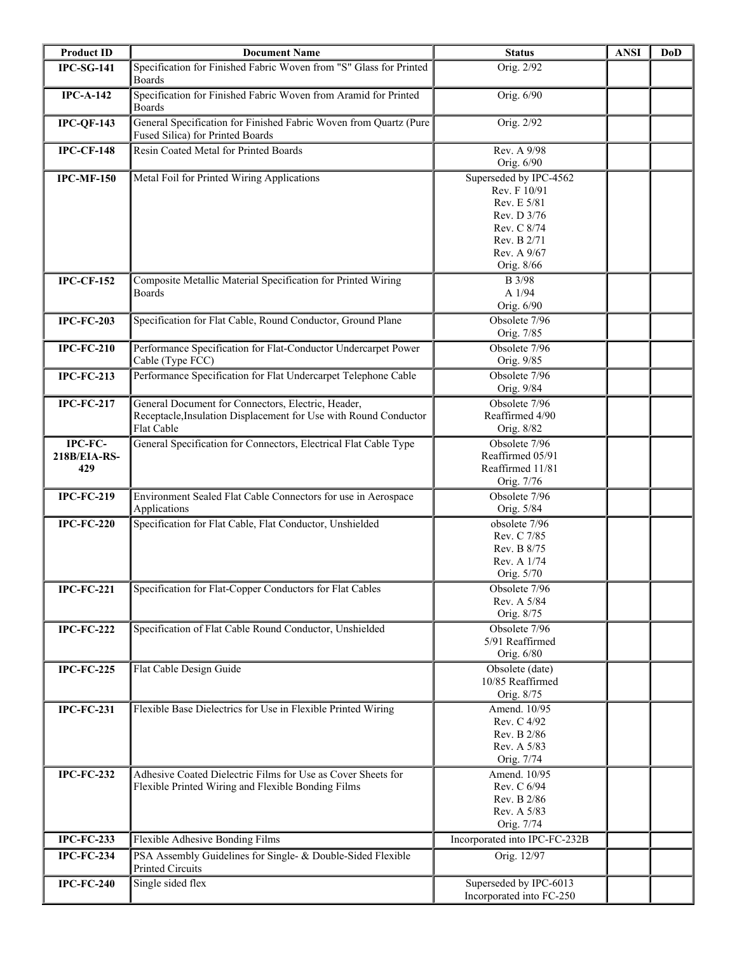| <b>Product ID</b>              | <b>Document Name</b>                                                                                                                 | <b>Status</b>                                                                                                                   | <b>ANSI</b> | <b>DoD</b> |
|--------------------------------|--------------------------------------------------------------------------------------------------------------------------------------|---------------------------------------------------------------------------------------------------------------------------------|-------------|------------|
| <b>IPC-SG-141</b>              | Specification for Finished Fabric Woven from "S" Glass for Printed<br><b>Boards</b>                                                  | Orig. 2/92                                                                                                                      |             |            |
| $IPC-A-142$                    | Specification for Finished Fabric Woven from Aramid for Printed<br>Boards                                                            | Orig. 6/90                                                                                                                      |             |            |
| <b>IPC-QF-143</b>              | General Specification for Finished Fabric Woven from Quartz (Pure<br>Fused Silica) for Printed Boards                                | Orig. 2/92                                                                                                                      |             |            |
| <b>IPC-CF-148</b>              | Resin Coated Metal for Printed Boards                                                                                                | Rev. A 9/98<br>Orig. 6/90                                                                                                       |             |            |
| <b>IPC-MF-150</b>              | Metal Foil for Printed Wiring Applications                                                                                           | Superseded by IPC-4562<br>Rev. F 10/91<br>Rev. E 5/81<br>Rev. D 3/76<br>Rev. C 8/74<br>Rev. B 2/71<br>Rev. A 9/67<br>Orig. 8/66 |             |            |
| <b>IPC-CF-152</b>              | Composite Metallic Material Specification for Printed Wiring<br><b>Boards</b>                                                        | <b>B</b> 3/98<br>A 1/94<br>Orig. 6/90                                                                                           |             |            |
| <b>IPC-FC-203</b>              | Specification for Flat Cable, Round Conductor, Ground Plane                                                                          | Obsolete 7/96<br>Orig. 7/85                                                                                                     |             |            |
| <b>IPC-FC-210</b>              | Performance Specification for Flat-Conductor Undercarpet Power<br>Cable (Type FCC)                                                   | Obsolete 7/96<br>Orig. 9/85                                                                                                     |             |            |
| <b>IPC-FC-213</b>              | Performance Specification for Flat Undercarpet Telephone Cable                                                                       | Obsolete 7/96<br>Orig. 9/84                                                                                                     |             |            |
| <b>IPC-FC-217</b>              | General Document for Connectors, Electric, Header,<br>Receptacle, Insulation Displacement for Use with Round Conductor<br>Flat Cable | Obsolete 7/96<br>Reaffirmed 4/90<br>Orig. 8/82                                                                                  |             |            |
| IPC-FC-<br>218B/EIA-RS-<br>429 | General Specification for Connectors, Electrical Flat Cable Type                                                                     | Obsolete 7/96<br>Reaffirmed 05/91<br>Reaffirmed 11/81<br>Orig. 7/76                                                             |             |            |
| <b>IPC-FC-219</b>              | Environment Sealed Flat Cable Connectors for use in Aerospace<br>Applications                                                        | Obsolete 7/96<br>Orig. 5/84                                                                                                     |             |            |
| <b>IPC-FC-220</b>              | Specification for Flat Cable, Flat Conductor, Unshielded                                                                             | obsolete 7/96<br>Rev. C 7/85<br>Rev. B 8/75<br>Rev. A 1/74<br>Orig. 5/70                                                        |             |            |
| <b>IPC-FC-221</b>              | Specification for Flat-Copper Conductors for Flat Cables                                                                             | Obsolete 7/96<br>Rev. A 5/84<br>Orig. 8/75                                                                                      |             |            |
| <b>IPC-FC-222</b>              | Specification of Flat Cable Round Conductor, Unshielded                                                                              | Obsolete 7/96<br>5/91 Reaffirmed<br>Orig. 6/80                                                                                  |             |            |
| <b>IPC-FC-225</b>              | Flat Cable Design Guide                                                                                                              | Obsolete (date)<br>10/85 Reaffirmed<br>Orig. 8/75                                                                               |             |            |
| <b>IPC-FC-231</b>              | Flexible Base Dielectrics for Use in Flexible Printed Wiring                                                                         | Amend. 10/95<br>Rev. C 4/92<br>Rev. B 2/86<br>Rev. A 5/83<br>Orig. 7/74                                                         |             |            |
| <b>IPC-FC-232</b>              | Adhesive Coated Dielectric Films for Use as Cover Sheets for<br>Flexible Printed Wiring and Flexible Bonding Films                   | Amend. 10/95<br>Rev. C 6/94<br>Rev. B 2/86<br>Rev. A 5/83<br>Orig. 7/74                                                         |             |            |
| <b>IPC-FC-233</b>              | Flexible Adhesive Bonding Films                                                                                                      | Incorporated into IPC-FC-232B                                                                                                   |             |            |
| <b>IPC-FC-234</b>              | PSA Assembly Guidelines for Single- & Double-Sided Flexible<br><b>Printed Circuits</b>                                               | Orig. 12/97                                                                                                                     |             |            |
| <b>IPC-FC-240</b>              | Single sided flex                                                                                                                    | Superseded by IPC-6013<br>Incorporated into FC-250                                                                              |             |            |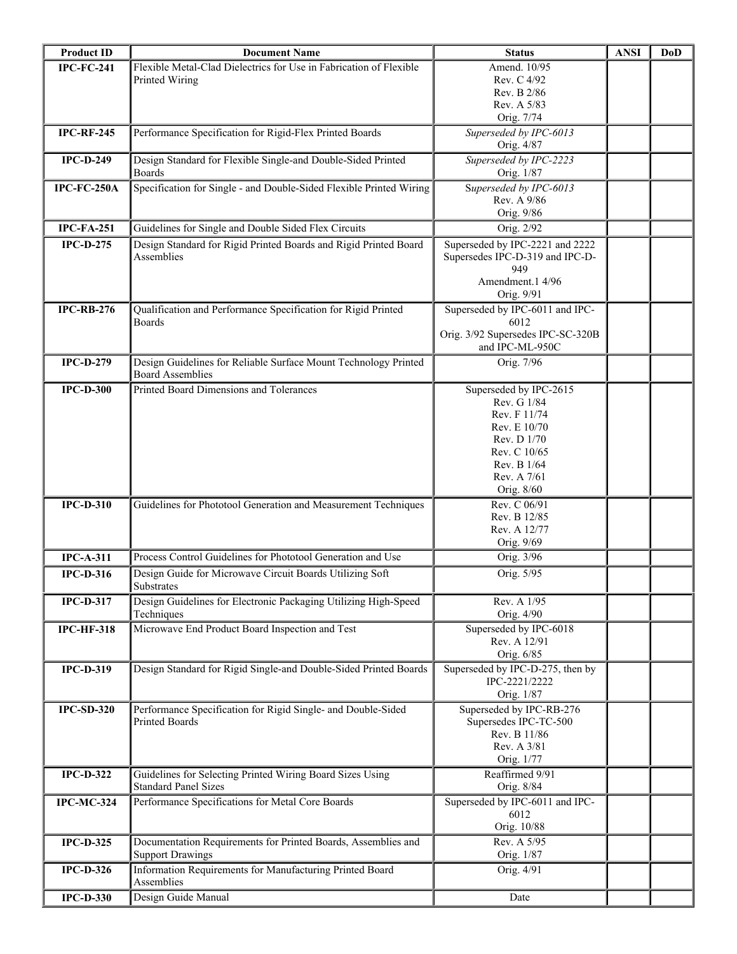| <b>Product ID</b> | <b>Document Name</b>                                                | <b>Status</b>                     | <b>ANSI</b> | DoD |
|-------------------|---------------------------------------------------------------------|-----------------------------------|-------------|-----|
| <b>IPC-FC-241</b> | Flexible Metal-Clad Dielectrics for Use in Fabrication of Flexible  | Amend. 10/95                      |             |     |
|                   | Printed Wiring                                                      | Rev. C 4/92                       |             |     |
|                   |                                                                     | Rev. B 2/86                       |             |     |
|                   |                                                                     | Rev. A 5/83                       |             |     |
|                   |                                                                     | Orig. 7/74                        |             |     |
| <b>IPC-RF-245</b> | Performance Specification for Rigid-Flex Printed Boards             | Superseded by IPC-6013            |             |     |
|                   |                                                                     | Orig. 4/87                        |             |     |
| <b>IPC-D-249</b>  | Design Standard for Flexible Single-and Double-Sided Printed        | Superseded by IPC-2223            |             |     |
|                   | <b>Boards</b>                                                       | Orig. 1/87                        |             |     |
| IPC-FC-250A       | Specification for Single - and Double-Sided Flexible Printed Wiring | Superseded by IPC-6013            |             |     |
|                   |                                                                     | Rev. A 9/86<br>Orig. 9/86         |             |     |
|                   |                                                                     |                                   |             |     |
| <b>IPC-FA-251</b> | Guidelines for Single and Double Sided Flex Circuits                | Orig. 2/92                        |             |     |
| $IPC-D-275$       | Design Standard for Rigid Printed Boards and Rigid Printed Board    | Superseded by IPC-2221 and 2222   |             |     |
|                   | Assemblies                                                          | Supersedes IPC-D-319 and IPC-D-   |             |     |
|                   |                                                                     | 949<br>Amendment.1 4/96           |             |     |
|                   |                                                                     | Orig. 9/91                        |             |     |
| <b>IPC-RB-276</b> | Qualification and Performance Specification for Rigid Printed       | Superseded by IPC-6011 and IPC-   |             |     |
|                   | <b>Boards</b>                                                       | 6012                              |             |     |
|                   |                                                                     | Orig. 3/92 Supersedes IPC-SC-320B |             |     |
|                   |                                                                     | and IPC-ML-950C                   |             |     |
| <b>IPC-D-279</b>  | Design Guidelines for Reliable Surface Mount Technology Printed     | Orig. 7/96                        |             |     |
|                   | <b>Board Assemblies</b>                                             |                                   |             |     |
| <b>IPC-D-300</b>  | Printed Board Dimensions and Tolerances                             | Superseded by IPC-2615            |             |     |
|                   |                                                                     | Rev. G 1/84                       |             |     |
|                   |                                                                     | Rev. F 11/74                      |             |     |
|                   |                                                                     | Rev. E 10/70                      |             |     |
|                   |                                                                     | Rev. D 1/70                       |             |     |
|                   |                                                                     | Rev. C 10/65                      |             |     |
|                   |                                                                     | Rev. B 1/64                       |             |     |
|                   |                                                                     | Rev. A 7/61                       |             |     |
|                   |                                                                     | Orig. 8/60<br>Rev. C 06/91        |             |     |
| <b>IPC-D-310</b>  | Guidelines for Phototool Generation and Measurement Techniques      | Rev. B 12/85                      |             |     |
|                   |                                                                     | Rev. A 12/77                      |             |     |
|                   |                                                                     | Orig. 9/69                        |             |     |
| $IPC-A-311$       | Process Control Guidelines for Phototool Generation and Use         | Orig. 3/96                        |             |     |
| <b>IPC-D-316</b>  | Design Guide for Microwave Circuit Boards Utilizing Soft            | Orig. 5/95                        |             |     |
|                   | Substrates                                                          |                                   |             |     |
| <b>IPC-D-317</b>  | Design Guidelines for Electronic Packaging Utilizing High-Speed     | Rev. A 1/95                       |             |     |
|                   | Techniques                                                          | Orig. 4/90                        |             |     |
| <b>IPC-HF-318</b> | Microwave End Product Board Inspection and Test                     | Superseded by IPC-6018            |             |     |
|                   |                                                                     | Rev. A 12/91                      |             |     |
|                   |                                                                     | Orig. 6/85                        |             |     |
| <b>IPC-D-319</b>  | Design Standard for Rigid Single-and Double-Sided Printed Boards    | Superseded by IPC-D-275, then by  |             |     |
|                   |                                                                     | IPC-2221/2222                     |             |     |
|                   |                                                                     | Orig. 1/87                        |             |     |
| <b>IPC-SD-320</b> | Performance Specification for Rigid Single- and Double-Sided        | Superseded by IPC-RB-276          |             |     |
|                   | Printed Boards                                                      | Supersedes IPC-TC-500             |             |     |
|                   |                                                                     | Rev. B 11/86                      |             |     |
|                   |                                                                     | Rev. A 3/81<br>Orig. 1/77         |             |     |
| <b>IPC-D-322</b>  | Guidelines for Selecting Printed Wiring Board Sizes Using           | Reaffirmed 9/91                   |             |     |
|                   | <b>Standard Panel Sizes</b>                                         | Orig. 8/84                        |             |     |
| <b>IPC-MC-324</b> | Performance Specifications for Metal Core Boards                    | Superseded by IPC-6011 and IPC-   |             |     |
|                   |                                                                     | 6012                              |             |     |
|                   |                                                                     | Orig. 10/88                       |             |     |
| <b>IPC-D-325</b>  | Documentation Requirements for Printed Boards, Assemblies and       | Rev. A 5/95                       |             |     |
|                   | <b>Support Drawings</b>                                             | Orig. 1/87                        |             |     |
| <b>IPC-D-326</b>  | Information Requirements for Manufacturing Printed Board            | Orig. 4/91                        |             |     |
|                   | Assemblies                                                          |                                   |             |     |
| <b>IPC-D-330</b>  | Design Guide Manual                                                 | Date                              |             |     |
|                   |                                                                     |                                   |             |     |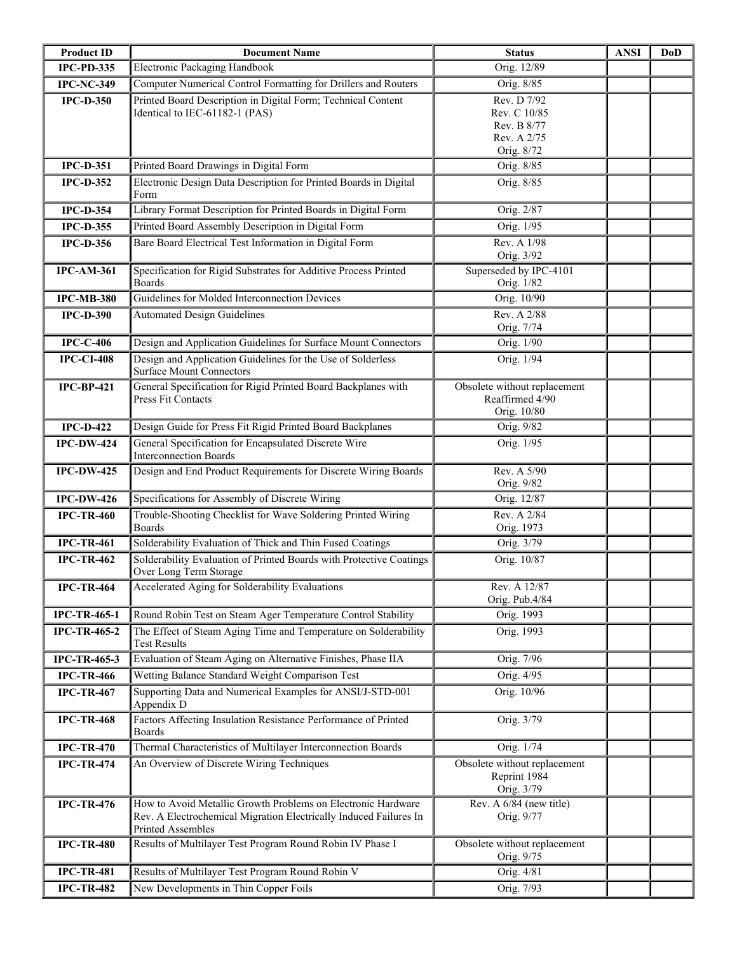| <b>Product ID</b>   | <b>Document Name</b>                                                                                                                                   | <b>Status</b>                                                           | <b>ANSI</b> | DoD |
|---------------------|--------------------------------------------------------------------------------------------------------------------------------------------------------|-------------------------------------------------------------------------|-------------|-----|
| <b>IPC-PD-335</b>   | Electronic Packaging Handbook                                                                                                                          | Orig. 12/89                                                             |             |     |
| <b>IPC-NC-349</b>   | Computer Numerical Control Formatting for Drillers and Routers                                                                                         | Orig. 8/85                                                              |             |     |
| <b>IPC-D-350</b>    | Printed Board Description in Digital Form; Technical Content<br>Identical to IEC-61182-1 (PAS)                                                         | Rev. D 7/92<br>Rev. C 10/85<br>Rev. B 8/77<br>Rev. A 2/75<br>Orig. 8/72 |             |     |
| <b>IPC-D-351</b>    | Printed Board Drawings in Digital Form                                                                                                                 | Orig. 8/85                                                              |             |     |
| <b>IPC-D-352</b>    | Electronic Design Data Description for Printed Boards in Digital<br>Form                                                                               | Orig. 8/85                                                              |             |     |
| <b>IPC-D-354</b>    | Library Format Description for Printed Boards in Digital Form                                                                                          | Orig. 2/87                                                              |             |     |
| <b>IPC-D-355</b>    | Printed Board Assembly Description in Digital Form                                                                                                     | Orig. 1/95                                                              |             |     |
| <b>IPC-D-356</b>    | Bare Board Electrical Test Information in Digital Form                                                                                                 | Rev. A 1/98<br>Orig. 3/92                                               |             |     |
| <b>IPC-AM-361</b>   | Specification for Rigid Substrates for Additive Process Printed<br><b>Boards</b>                                                                       | Superseded by IPC-4101<br>Orig. 1/82                                    |             |     |
| <b>IPC-MB-380</b>   | Guidelines for Molded Interconnection Devices                                                                                                          | Orig. 10/90                                                             |             |     |
| <b>IPC-D-390</b>    | <b>Automated Design Guidelines</b>                                                                                                                     | Rev. A 2/88<br>Orig. 7/74                                               |             |     |
| <b>IPC-C-406</b>    | Design and Application Guidelines for Surface Mount Connectors                                                                                         | Orig. 1/90                                                              |             |     |
| <b>IPC-CI-408</b>   | Design and Application Guidelines for the Use of Solderless<br><b>Surface Mount Connectors</b>                                                         | Orig. 1/94                                                              |             |     |
| <b>IPC-BP-421</b>   | General Specification for Rigid Printed Board Backplanes with<br>Press Fit Contacts                                                                    | Obsolete without replacement<br>Reaffirmed 4/90<br>Orig. 10/80          |             |     |
| $IPC-D-422$         | Design Guide for Press Fit Rigid Printed Board Backplanes                                                                                              | Orig. 9/82                                                              |             |     |
| <b>IPC-DW-424</b>   | General Specification for Encapsulated Discrete Wire<br><b>Interconnection Boards</b>                                                                  | Orig. 1/95                                                              |             |     |
| <b>IPC-DW-425</b>   | Design and End Product Requirements for Discrete Wiring Boards                                                                                         | Rev. A 5/90<br>Orig. 9/82                                               |             |     |
| <b>IPC-DW-426</b>   | Specifications for Assembly of Discrete Wiring                                                                                                         | Orig. 12/87                                                             |             |     |
| <b>IPC-TR-460</b>   | Trouble-Shooting Checklist for Wave Soldering Printed Wiring<br><b>Boards</b>                                                                          | Rev. A 2/84<br>Orig. 1973                                               |             |     |
| <b>IPC-TR-461</b>   | Solderability Evaluation of Thick and Thin Fused Coatings                                                                                              | Orig. 3/79                                                              |             |     |
| <b>IPC-TR-462</b>   | Solderability Evaluation of Printed Boards with Protective Coatings<br>Over Long Term Storage                                                          | Orig. 10/87                                                             |             |     |
| <b>IPC-TR-464</b>   | Accelerated Aging for Solderability Evaluations                                                                                                        | Rev. A 12/87<br>Orig. Pub.4/84                                          |             |     |
| <b>IPC-TR-465-1</b> | Round Robin Test on Steam Ager Temperature Control Stability                                                                                           | Orig. 1993                                                              |             |     |
| <b>IPC-TR-465-2</b> | The Effect of Steam Aging Time and Temperature on Solderability<br><b>Test Results</b>                                                                 | Orig. 1993                                                              |             |     |
| <b>IPC-TR-465-3</b> | Evaluation of Steam Aging on Alternative Finishes, Phase IIA                                                                                           | Orig. 7/96                                                              |             |     |
| <b>IPC-TR-466</b>   | Wetting Balance Standard Weight Comparison Test                                                                                                        | Orig. 4/95                                                              |             |     |
| <b>IPC-TR-467</b>   | Supporting Data and Numerical Examples for ANSI/J-STD-001<br>Appendix D                                                                                | Orig. 10/96                                                             |             |     |
| <b>IPC-TR-468</b>   | Factors Affecting Insulation Resistance Performance of Printed<br><b>Boards</b>                                                                        | Orig. 3/79                                                              |             |     |
| <b>IPC-TR-470</b>   | Thermal Characteristics of Multilayer Interconnection Boards                                                                                           | Orig. 1/74                                                              |             |     |
| <b>IPC-TR-474</b>   | An Overview of Discrete Wiring Techniques                                                                                                              | Obsolete without replacement<br>Reprint 1984<br>Orig. 3/79              |             |     |
| <b>IPC-TR-476</b>   | How to Avoid Metallic Growth Problems on Electronic Hardware<br>Rev. A Electrochemical Migration Electrically Induced Failures In<br>Printed Assembles | Rev. A 6/84 (new title)<br>Orig. 9/77                                   |             |     |
| <b>IPC-TR-480</b>   | Results of Multilayer Test Program Round Robin IV Phase I                                                                                              | Obsolete without replacement<br>Orig. 9/75                              |             |     |
| <b>IPC-TR-481</b>   | Results of Multilayer Test Program Round Robin V                                                                                                       | Orig. 4/81                                                              |             |     |
| <b>IPC-TR-482</b>   | New Developments in Thin Copper Foils                                                                                                                  | Orig. 7/93                                                              |             |     |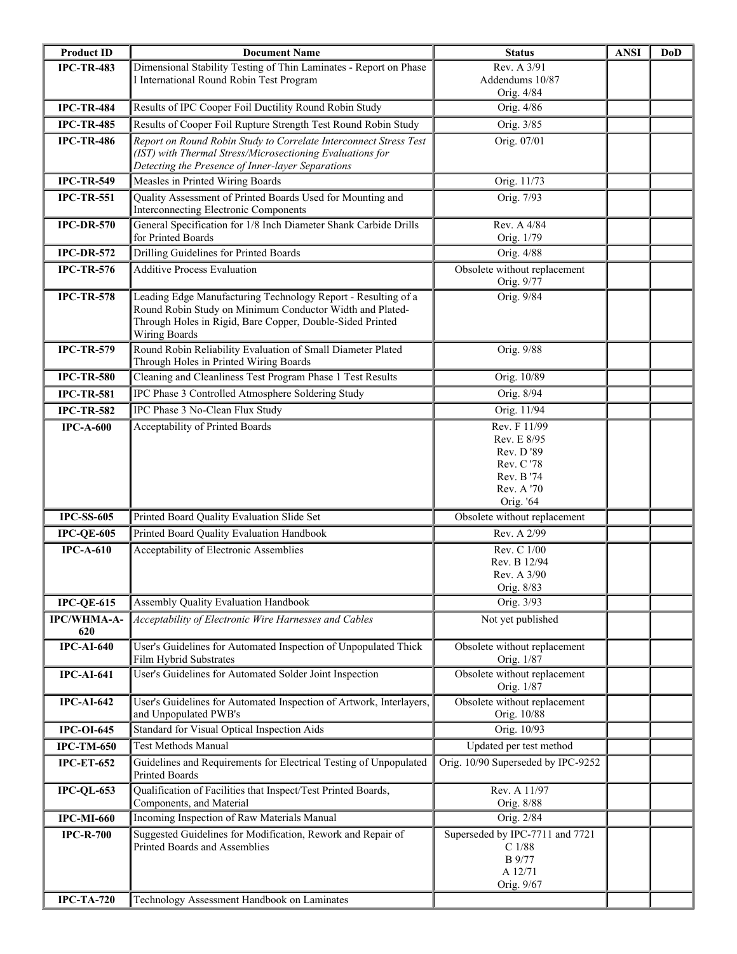| <b>Product ID</b>  | <b>Document Name</b>                                                                                                                                                                                    | <b>Status</b>                                                                                  | <b>ANSI</b> | <b>DoD</b> |
|--------------------|---------------------------------------------------------------------------------------------------------------------------------------------------------------------------------------------------------|------------------------------------------------------------------------------------------------|-------------|------------|
| <b>IPC-TR-483</b>  | Dimensional Stability Testing of Thin Laminates - Report on Phase<br>I International Round Robin Test Program                                                                                           | Rev. A 3/91<br>Addendums 10/87<br>Orig. 4/84                                                   |             |            |
| <b>IPC-TR-484</b>  | Results of IPC Cooper Foil Ductility Round Robin Study                                                                                                                                                  | Orig. 4/86                                                                                     |             |            |
| <b>IPC-TR-485</b>  | Results of Cooper Foil Rupture Strength Test Round Robin Study                                                                                                                                          | Orig. 3/85                                                                                     |             |            |
| <b>IPC-TR-486</b>  | Report on Round Robin Study to Correlate Interconnect Stress Test<br>(IST) with Thermal Stress/Microsectioning Evaluations for<br>Detecting the Presence of Inner-layer Separations                     | Orig. 07/01                                                                                    |             |            |
| <b>IPC-TR-549</b>  | Measles in Printed Wiring Boards                                                                                                                                                                        | Orig. 11/73                                                                                    |             |            |
| <b>IPC-TR-551</b>  | Quality Assessment of Printed Boards Used for Mounting and<br>Interconnecting Electronic Components                                                                                                     | Orig. 7/93                                                                                     |             |            |
| $IPC-DR-570$       | General Specification for 1/8 Inch Diameter Shank Carbide Drills<br>for Printed Boards                                                                                                                  | Rev. A 4/84<br>Orig. 1/79                                                                      |             |            |
| <b>IPC-DR-572</b>  | Drilling Guidelines for Printed Boards                                                                                                                                                                  | Orig. 4/88                                                                                     |             |            |
| <b>IPC-TR-576</b>  | <b>Additive Process Evaluation</b>                                                                                                                                                                      | Obsolete without replacement<br>Orig. 9/77                                                     |             |            |
| <b>IPC-TR-578</b>  | Leading Edge Manufacturing Technology Report - Resulting of a<br>Round Robin Study on Minimum Conductor Width and Plated-<br>Through Holes in Rigid, Bare Copper, Double-Sided Printed<br>Wiring Boards | Orig. 9/84                                                                                     |             |            |
| <b>IPC-TR-579</b>  | Round Robin Reliability Evaluation of Small Diameter Plated<br>Through Holes in Printed Wiring Boards                                                                                                   | Orig. 9/88                                                                                     |             |            |
| <b>IPC-TR-580</b>  | Cleaning and Cleanliness Test Program Phase 1 Test Results                                                                                                                                              | Orig. 10/89                                                                                    |             |            |
| <b>IPC-TR-581</b>  | IPC Phase 3 Controlled Atmosphere Soldering Study                                                                                                                                                       | Orig. 8/94                                                                                     |             |            |
| <b>IPC-TR-582</b>  | IPC Phase 3 No-Clean Flux Study                                                                                                                                                                         | Orig. 11/94                                                                                    |             |            |
| $IPC-A-600$        | Acceptability of Printed Boards                                                                                                                                                                         | Rev. F 11/99<br>Rev. E 8/95<br>Rev. D'89<br>Rev. C'78<br>Rev. B '74<br>Rev. A '70<br>Orig. '64 |             |            |
| <b>IPC-SS-605</b>  | Printed Board Quality Evaluation Slide Set                                                                                                                                                              | Obsolete without replacement                                                                   |             |            |
| <b>IPC-QE-605</b>  | Printed Board Quality Evaluation Handbook                                                                                                                                                               | Rev. A 2/99                                                                                    |             |            |
| $IPC-A-610$        | Acceptability of Electronic Assemblies                                                                                                                                                                  | Rev. C 1/00<br>Rev. B 12/94<br>Rev. A 3/90<br>Orig. 8/83                                       |             |            |
| $IPC-QE-615$       | Assembly Quality Evaluation Handbook                                                                                                                                                                    | Orig. 3/93                                                                                     |             |            |
| IPC/WHMA-A-<br>620 | Acceptability of Electronic Wire Harnesses and Cables                                                                                                                                                   | Not yet published                                                                              |             |            |
| $IPC-AI-640$       | User's Guidelines for Automated Inspection of Unpopulated Thick<br>Film Hybrid Substrates                                                                                                               | Obsolete without replacement<br>Orig. 1/87                                                     |             |            |
| <b>IPC-AI-641</b>  | User's Guidelines for Automated Solder Joint Inspection                                                                                                                                                 | Obsolete without replacement<br>Orig. 1/87                                                     |             |            |
| <b>IPC-AI-642</b>  | User's Guidelines for Automated Inspection of Artwork, Interlayers,<br>and Unpopulated PWB's                                                                                                            | Obsolete without replacement<br>Orig. 10/88                                                    |             |            |
| <b>IPC-OI-645</b>  | Standard for Visual Optical Inspection Aids                                                                                                                                                             | Orig. 10/93                                                                                    |             |            |
| <b>IPC-TM-650</b>  | <b>Test Methods Manual</b>                                                                                                                                                                              | Updated per test method                                                                        |             |            |
| <b>IPC-ET-652</b>  | Guidelines and Requirements for Electrical Testing of Unpopulated<br><b>Printed Boards</b>                                                                                                              | Orig. 10/90 Superseded by IPC-9252                                                             |             |            |
| $IPC-QL-653$       | Qualification of Facilities that Inspect/Test Printed Boards,<br>Components, and Material                                                                                                               | Rev. A 11/97<br>Orig. 8/88                                                                     |             |            |
| <b>IPC-MI-660</b>  | Incoming Inspection of Raw Materials Manual                                                                                                                                                             | Orig. 2/84                                                                                     |             |            |
| <b>IPC-R-700</b>   | Suggested Guidelines for Modification, Rework and Repair of<br><b>Printed Boards and Assemblies</b>                                                                                                     | Superseded by IPC-7711 and 7721<br>$\mathrm{C}$ 1/88<br>B 9/77<br>A 12/71<br>Orig. 9/67        |             |            |
| <b>IPC-TA-720</b>  | Technology Assessment Handbook on Laminates                                                                                                                                                             |                                                                                                |             |            |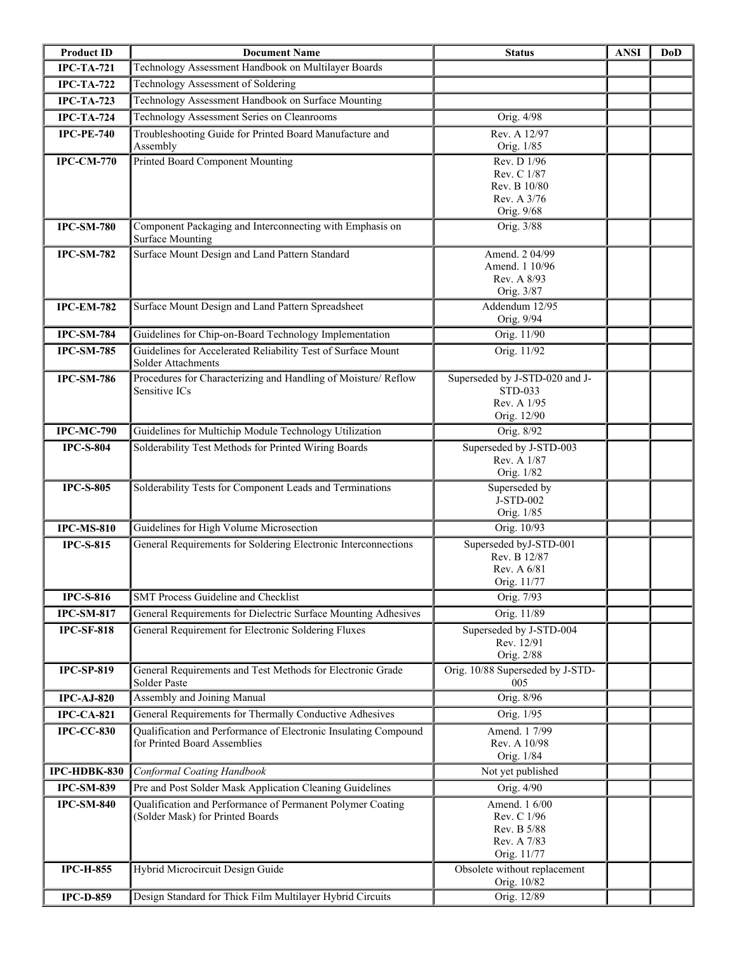| <b>Product ID</b> | <b>Document Name</b>                                                                            | <b>Status</b>                                                             | <b>ANSI</b> | <b>DoD</b> |
|-------------------|-------------------------------------------------------------------------------------------------|---------------------------------------------------------------------------|-------------|------------|
| <b>IPC-TA-721</b> | Technology Assessment Handbook on Multilayer Boards                                             |                                                                           |             |            |
| <b>IPC-TA-722</b> | Technology Assessment of Soldering                                                              |                                                                           |             |            |
| <b>IPC-TA-723</b> | Technology Assessment Handbook on Surface Mounting                                              |                                                                           |             |            |
| <b>IPC-TA-724</b> | Technology Assessment Series on Cleanrooms                                                      | Orig. 4/98                                                                |             |            |
| <b>IPC-PE-740</b> | Troubleshooting Guide for Printed Board Manufacture and<br>Assembly                             | Rev. A 12/97<br>Orig. 1/85                                                |             |            |
| <b>IPC-CM-770</b> | Printed Board Component Mounting                                                                | Rev. D 1/96<br>Rev. C 1/87<br>Rev. B 10/80<br>Rev. A 3/76<br>Orig. 9/68   |             |            |
| <b>IPC-SM-780</b> | Component Packaging and Interconnecting with Emphasis on<br><b>Surface Mounting</b>             | Orig. 3/88                                                                |             |            |
| <b>IPC-SM-782</b> | Surface Mount Design and Land Pattern Standard                                                  | Amend. 2 04/99<br>Amend. 1 10/96<br>Rev. A 8/93<br>Orig. 3/87             |             |            |
| <b>IPC-EM-782</b> | Surface Mount Design and Land Pattern Spreadsheet                                               | Addendum 12/95<br>Orig. 9/94                                              |             |            |
| <b>IPC-SM-784</b> | Guidelines for Chip-on-Board Technology Implementation                                          | Orig. 11/90                                                               |             |            |
| <b>IPC-SM-785</b> | Guidelines for Accelerated Reliability Test of Surface Mount<br>Solder Attachments              | Orig. 11/92                                                               |             |            |
| <b>IPC-SM-786</b> | Procedures for Characterizing and Handling of Moisture/ Reflow<br>Sensitive ICs                 | Superseded by J-STD-020 and J-<br>STD-033<br>Rev. A 1/95<br>Orig. 12/90   |             |            |
| <b>IPC-MC-790</b> | Guidelines for Multichip Module Technology Utilization                                          | Orig. 8/92                                                                |             |            |
| <b>IPC-S-804</b>  | Solderability Test Methods for Printed Wiring Boards                                            | Superseded by J-STD-003<br>Rev. A 1/87<br>Orig. 1/82                      |             |            |
| <b>IPC-S-805</b>  | Solderability Tests for Component Leads and Terminations                                        | Superseded by<br>J-STD-002<br>Orig. 1/85                                  |             |            |
| <b>IPC-MS-810</b> | Guidelines for High Volume Microsection                                                         | Orig. 10/93                                                               |             |            |
| <b>IPC-S-815</b>  | General Requirements for Soldering Electronic Interconnections                                  | Superseded by J-STD-001<br>Rev. B 12/87<br>Rev. A 6/81<br>Orig. 11/77     |             |            |
| <b>IPC-S-816</b>  | <b>SMT Process Guideline and Checklist</b>                                                      | Orig. 7/93                                                                |             |            |
| <b>IPC-SM-817</b> | General Requirements for Dielectric Surface Mounting Adhesives                                  | Orig. 11/89                                                               |             |            |
| <b>IPC-SF-818</b> | General Requirement for Electronic Soldering Fluxes                                             | Superseded by J-STD-004<br>Rev. 12/91<br>Orig. 2/88                       |             |            |
| <b>IPC-SP-819</b> | General Requirements and Test Methods for Electronic Grade<br>Solder Paste                      | Orig. 10/88 Superseded by J-STD-<br>005                                   |             |            |
| $IPC-AJ-820$      | Assembly and Joining Manual                                                                     | Orig. 8/96                                                                |             |            |
| <b>IPC-CA-821</b> | General Requirements for Thermally Conductive Adhesives                                         | Orig. 1/95                                                                |             |            |
| <b>IPC-CC-830</b> | Qualification and Performance of Electronic Insulating Compound<br>for Printed Board Assemblies | Amend. 1 7/99<br>Rev. A 10/98<br>Orig. 1/84                               |             |            |
| IPC-HDBK-830      | Conformal Coating Handbook                                                                      | Not yet published                                                         |             |            |
| <b>IPC-SM-839</b> | Pre and Post Solder Mask Application Cleaning Guidelines                                        | Orig. 4/90                                                                |             |            |
| <b>IPC-SM-840</b> | Qualification and Performance of Permanent Polymer Coating<br>(Solder Mask) for Printed Boards  | Amend. 1 6/00<br>Rev. C 1/96<br>Rev. B 5/88<br>Rev. A 7/83<br>Orig. 11/77 |             |            |
| <b>IPC-H-855</b>  | Hybrid Microcircuit Design Guide                                                                | Obsolete without replacement<br>Orig. 10/82                               |             |            |
| <b>IPC-D-859</b>  | Design Standard for Thick Film Multilayer Hybrid Circuits                                       | Orig. 12/89                                                               |             |            |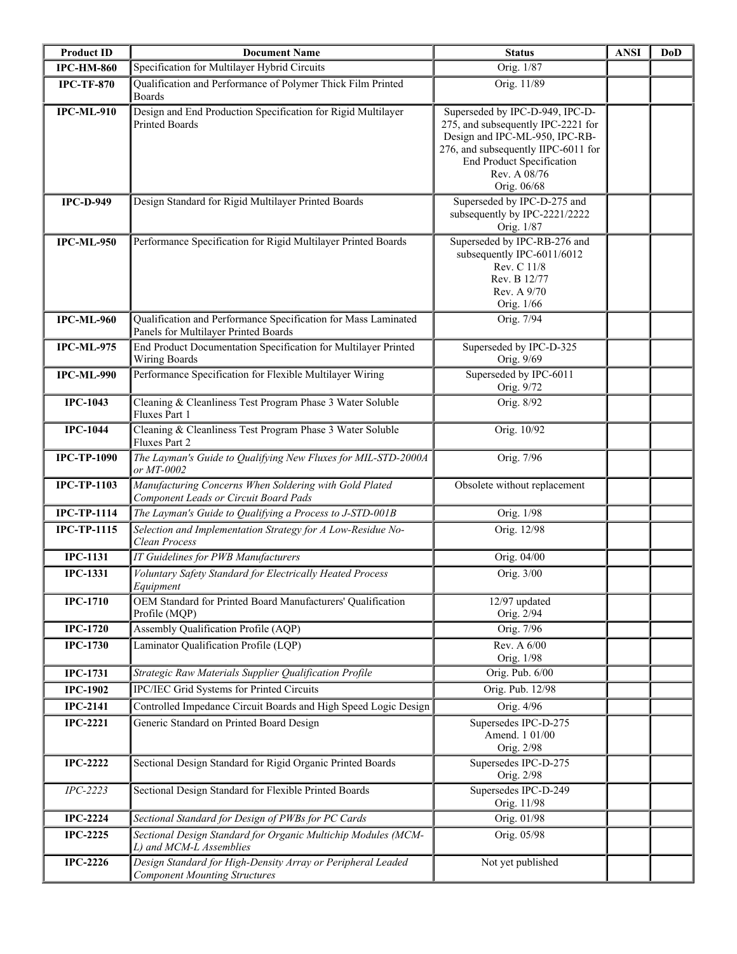| <b>Product ID</b>  | <b>Document Name</b>                                                                                   | <b>Status</b>                                                                                                                                                                                                     | <b>ANSI</b> | <b>DoD</b> |
|--------------------|--------------------------------------------------------------------------------------------------------|-------------------------------------------------------------------------------------------------------------------------------------------------------------------------------------------------------------------|-------------|------------|
| <b>IPC-HM-860</b>  | Specification for Multilayer Hybrid Circuits                                                           | Orig. 1/87                                                                                                                                                                                                        |             |            |
| <b>IPC-TF-870</b>  | Qualification and Performance of Polymer Thick Film Printed<br><b>Boards</b>                           | Orig. 11/89                                                                                                                                                                                                       |             |            |
| <b>IPC-ML-910</b>  | Design and End Production Specification for Rigid Multilayer<br><b>Printed Boards</b>                  | Superseded by IPC-D-949, IPC-D-<br>275, and subsequently IPC-2221 for<br>Design and IPC-ML-950, IPC-RB-<br>276, and subsequently IIPC-6011 for<br><b>End Product Specification</b><br>Rev. A 08/76<br>Orig. 06/68 |             |            |
| <b>IPC-D-949</b>   | Design Standard for Rigid Multilayer Printed Boards                                                    | Superseded by IPC-D-275 and<br>subsequently by IPC-2221/2222<br>Orig. 1/87                                                                                                                                        |             |            |
| <b>IPC-ML-950</b>  | Performance Specification for Rigid Multilayer Printed Boards                                          | Superseded by IPC-RB-276 and<br>subsequently IPC-6011/6012<br>Rev. C 11/8<br>Rev. B 12/77<br>Rev. A 9/70<br>Orig. 1/66                                                                                            |             |            |
| <b>IPC-ML-960</b>  | Qualification and Performance Specification for Mass Laminated<br>Panels for Multilayer Printed Boards | Orig. 7/94                                                                                                                                                                                                        |             |            |
| <b>IPC-ML-975</b>  | End Product Documentation Specification for Multilayer Printed<br>Wiring Boards                        | Superseded by IPC-D-325<br>Orig. 9/69                                                                                                                                                                             |             |            |
| <b>IPC-ML-990</b>  | Performance Specification for Flexible Multilayer Wiring                                               | Superseded by IPC-6011<br>Orig. 9/72                                                                                                                                                                              |             |            |
| <b>IPC-1043</b>    | Cleaning & Cleanliness Test Program Phase 3 Water Soluble<br>Fluxes Part 1                             | Orig. 8/92                                                                                                                                                                                                        |             |            |
| <b>IPC-1044</b>    | Cleaning & Cleanliness Test Program Phase 3 Water Soluble<br>Fluxes Part 2                             | Orig. 10/92                                                                                                                                                                                                       |             |            |
| <b>IPC-TP-1090</b> | The Layman's Guide to Qualifying New Fluxes for MIL-STD-2000A<br>or MT-0002                            | Orig. 7/96                                                                                                                                                                                                        |             |            |
| <b>IPC-TP-1103</b> | Manufacturing Concerns When Soldering with Gold Plated<br>Component Leads or Circuit Board Pads        | Obsolete without replacement                                                                                                                                                                                      |             |            |
| $IPC-TP-1114$      | The Layman's Guide to Qualifying a Process to J-STD-001B                                               | Orig. 1/98                                                                                                                                                                                                        |             |            |
| <b>IPC-TP-1115</b> | Selection and Implementation Strategy for A Low-Residue No-<br>Clean Process                           | Orig. 12/98                                                                                                                                                                                                       |             |            |
| <b>IPC-1131</b>    | IT Guidelines for PWB Manufacturers                                                                    | Orig. 04/00                                                                                                                                                                                                       |             |            |
| <b>IPC-1331</b>    | Voluntary Safety Standard for Electrically Heated Process<br>Equipment                                 | Orig. 3/00                                                                                                                                                                                                        |             |            |
| <b>IPC-1710</b>    | OEM Standard for Printed Board Manufacturers' Qualification<br>Profile (MQP)                           | 12/97 updated<br>Orig. 2/94                                                                                                                                                                                       |             |            |
| <b>IPC-1720</b>    | Assembly Qualification Profile (AQP)                                                                   | Orig. 7/96                                                                                                                                                                                                        |             |            |
| <b>IPC-1730</b>    | Laminator Qualification Profile (LQP)                                                                  | Rev. A 6/00<br>Orig. 1/98                                                                                                                                                                                         |             |            |
| <b>IPC-1731</b>    | Strategic Raw Materials Supplier Qualification Profile                                                 | Orig. Pub. 6/00                                                                                                                                                                                                   |             |            |
| <b>IPC-1902</b>    | IPC/IEC Grid Systems for Printed Circuits                                                              | Orig. Pub. 12/98                                                                                                                                                                                                  |             |            |
| <b>IPC-2141</b>    | Controlled Impedance Circuit Boards and High Speed Logic Design                                        | Orig. 4/96                                                                                                                                                                                                        |             |            |
| <b>IPC-2221</b>    | Generic Standard on Printed Board Design                                                               | Supersedes IPC-D-275<br>Amend. 1 01/00<br>Orig. 2/98                                                                                                                                                              |             |            |
| <b>IPC-2222</b>    | Sectional Design Standard for Rigid Organic Printed Boards                                             | Supersedes IPC-D-275<br>Orig. 2/98                                                                                                                                                                                |             |            |
| $IPC-2223$         | Sectional Design Standard for Flexible Printed Boards                                                  | Supersedes IPC-D-249<br>Orig. 11/98                                                                                                                                                                               |             |            |
| <b>IPC-2224</b>    | Sectional Standard for Design of PWBs for PC Cards                                                     | Orig. 01/98                                                                                                                                                                                                       |             |            |
| <b>IPC-2225</b>    | Sectional Design Standard for Organic Multichip Modules (MCM-<br>L) and MCM-L Assemblies               | Orig. 05/98                                                                                                                                                                                                       |             |            |
| <b>IPC-2226</b>    | Design Standard for High-Density Array or Peripheral Leaded<br><b>Component Mounting Structures</b>    | Not yet published                                                                                                                                                                                                 |             |            |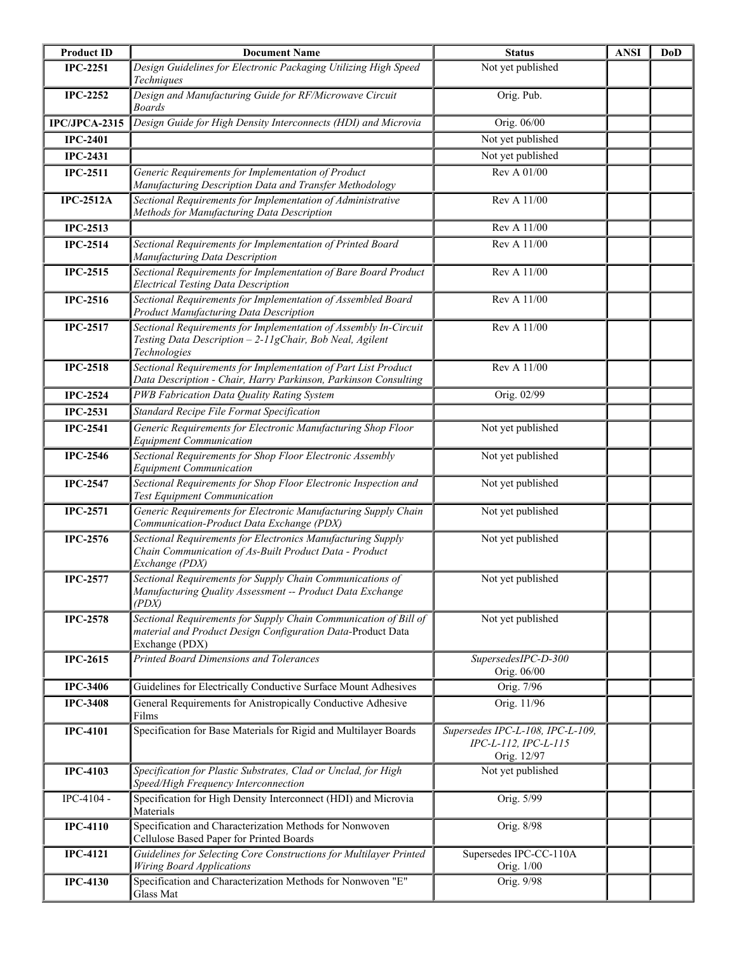| <b>Product ID</b> | <b>Document Name</b>                                                                                                                              | <b>Status</b>                                                           | <b>ANSI</b> | <b>DoD</b> |
|-------------------|---------------------------------------------------------------------------------------------------------------------------------------------------|-------------------------------------------------------------------------|-------------|------------|
| <b>IPC-2251</b>   | Design Guidelines for Electronic Packaging Utilizing High Speed<br>Techniques                                                                     | Not yet published                                                       |             |            |
| <b>IPC-2252</b>   | Design and Manufacturing Guide for RF/Microwave Circuit<br><b>Boards</b>                                                                          | Orig. Pub.                                                              |             |            |
| IPC/JPCA-2315     | Design Guide for High Density Interconnects (HDI) and Microvia                                                                                    | Orig. 06/00                                                             |             |            |
| <b>IPC-2401</b>   |                                                                                                                                                   | Not yet published                                                       |             |            |
| <b>IPC-2431</b>   |                                                                                                                                                   | Not yet published                                                       |             |            |
| <b>IPC-2511</b>   | Generic Requirements for Implementation of Product<br>Manufacturing Description Data and Transfer Methodology                                     | Rev A 01/00                                                             |             |            |
| <b>IPC-2512A</b>  | Sectional Requirements for Implementation of Administrative<br>Methods for Manufacturing Data Description                                         | Rev A 11/00                                                             |             |            |
| <b>IPC-2513</b>   |                                                                                                                                                   | Rev A 11/00                                                             |             |            |
| <b>IPC-2514</b>   | Sectional Requirements for Implementation of Printed Board<br>Manufacturing Data Description                                                      | Rev A 11/00                                                             |             |            |
| <b>IPC-2515</b>   | Sectional Requirements for Implementation of Bare Board Product<br><b>Electrical Testing Data Description</b>                                     | Rev A 11/00                                                             |             |            |
| <b>IPC-2516</b>   | Sectional Requirements for Implementation of Assembled Board<br>Product Manufacturing Data Description                                            | Rev A 11/00                                                             |             |            |
| <b>IPC-2517</b>   | Sectional Requirements for Implementation of Assembly In-Circuit<br>Testing Data Description - 2-11gChair, Bob Neal, Agilent<br>Technologies      | Rev A 11/00                                                             |             |            |
| <b>IPC-2518</b>   | Sectional Requirements for Implementation of Part List Product<br>Data Description - Chair, Harry Parkinson, Parkinson Consulting                 | Rev A 11/00                                                             |             |            |
| <b>IPC-2524</b>   | PWB Fabrication Data Quality Rating System                                                                                                        | Orig. 02/99                                                             |             |            |
| <b>IPC-2531</b>   | Standard Recipe File Format Specification                                                                                                         |                                                                         |             |            |
| <b>IPC-2541</b>   | Generic Requirements for Electronic Manufacturing Shop Floor<br><b>Equipment Communication</b>                                                    | Not yet published                                                       |             |            |
| <b>IPC-2546</b>   | Sectional Requirements for Shop Floor Electronic Assembly<br><b>Equipment Communication</b>                                                       | Not yet published                                                       |             |            |
| <b>IPC-2547</b>   | Sectional Requirements for Shop Floor Electronic Inspection and<br><b>Test Equipment Communication</b>                                            | Not yet published                                                       |             |            |
| <b>IPC-2571</b>   | Generic Requirements for Electronic Manufacturing Supply Chain<br>Communication-Product Data Exchange (PDX)                                       | Not yet published                                                       |             |            |
| <b>IPC-2576</b>   | Sectional Requirements for Electronics Manufacturing Supply<br>Chain Communication of As-Built Product Data - Product<br>Exchange (PDX)           | Not yet published                                                       |             |            |
| <b>IPC-2577</b>   | Sectional Requirements for Supply Chain Communications of<br>Manufacturing Quality Assessment -- Product Data Exchange<br>(PDX)                   | Not yet published                                                       |             |            |
| <b>IPC-2578</b>   | Sectional Requirements for Supply Chain Communication of Bill of<br>material and Product Design Configuration Data-Product Data<br>Exchange (PDX) | Not yet published                                                       |             |            |
| <b>IPC-2615</b>   | Printed Board Dimensions and Tolerances                                                                                                           | SupersedesIPC-D-300<br>Orig. 06/00                                      |             |            |
| <b>IPC-3406</b>   | Guidelines for Electrically Conductive Surface Mount Adhesives                                                                                    | Orig. 7/96                                                              |             |            |
| <b>IPC-3408</b>   | General Requirements for Anistropically Conductive Adhesive<br>Films                                                                              | Orig. 11/96                                                             |             |            |
| <b>IPC-4101</b>   | Specification for Base Materials for Rigid and Multilayer Boards                                                                                  | Supersedes IPC-L-108, IPC-L-109,<br>IPC-L-112, IPC-L-115<br>Orig. 12/97 |             |            |
| <b>IPC-4103</b>   | Specification for Plastic Substrates, Clad or Unclad, for High<br>Speed/High Frequency Interconnection                                            | Not yet published                                                       |             |            |
| IPC-4104 -        | Specification for High Density Interconnect (HDI) and Microvia<br>Materials                                                                       | Orig. 5/99                                                              |             |            |
| <b>IPC-4110</b>   | Specification and Characterization Methods for Nonwoven<br>Cellulose Based Paper for Printed Boards                                               | Orig. 8/98                                                              |             |            |
| <b>IPC-4121</b>   | Guidelines for Selecting Core Constructions for Multilayer Printed<br>Wiring Board Applications                                                   | Supersedes IPC-CC-110A<br>Orig. 1/00                                    |             |            |
| <b>IPC-4130</b>   | Specification and Characterization Methods for Nonwoven "E"<br>Glass Mat                                                                          | Orig. 9/98                                                              |             |            |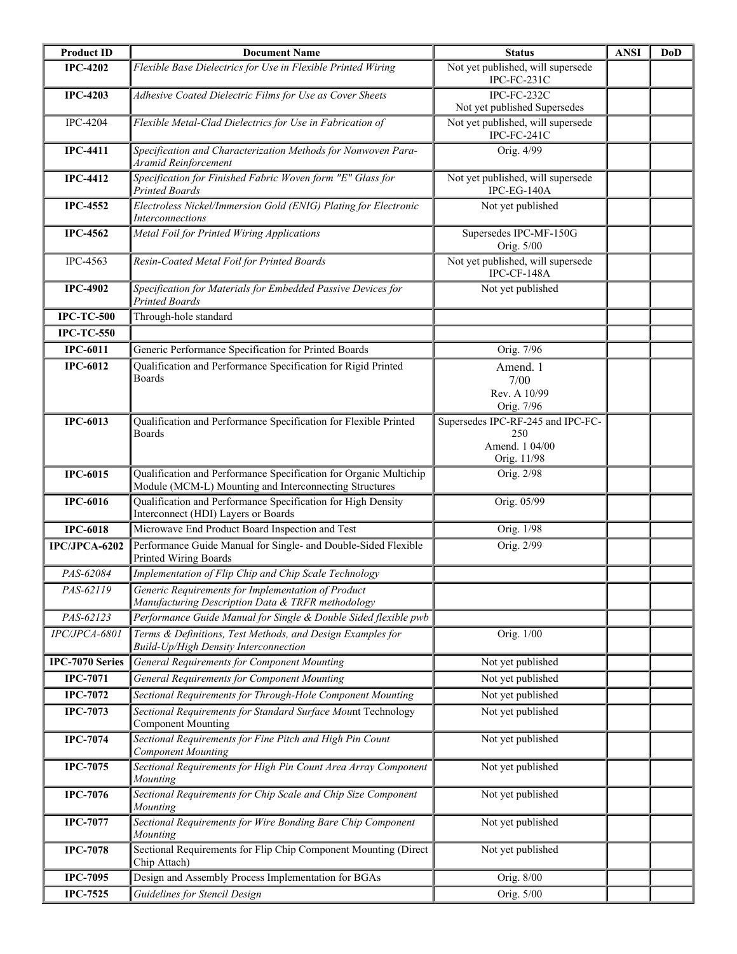| <b>Product ID</b> | <b>Document Name</b>                                                                                                        | <b>Status</b>                                                             | <b>ANSI</b> | <b>DoD</b> |
|-------------------|-----------------------------------------------------------------------------------------------------------------------------|---------------------------------------------------------------------------|-------------|------------|
| <b>IPC-4202</b>   | Flexible Base Dielectrics for Use in Flexible Printed Wiring                                                                | Not yet published, will supersede<br>IPC-FC-231C                          |             |            |
| <b>IPC-4203</b>   | Adhesive Coated Dielectric Films for Use as Cover Sheets                                                                    | IPC-FC-232C<br>Not yet published Supersedes                               |             |            |
| <b>IPC-4204</b>   | Flexible Metal-Clad Dielectrics for Use in Fabrication of                                                                   | Not yet published, will supersede<br>IPC-FC-241C                          |             |            |
| <b>IPC-4411</b>   | Specification and Characterization Methods for Nonwoven Para-<br>Aramid Reinforcement                                       | Orig. 4/99                                                                |             |            |
| <b>IPC-4412</b>   | Specification for Finished Fabric Woven form "E" Glass for<br><b>Printed Boards</b>                                         | Not yet published, will supersede<br>IPC-EG-140A                          |             |            |
| <b>IPC-4552</b>   | Electroless Nickel/Immersion Gold (ENIG) Plating for Electronic<br><i>Interconnections</i>                                  | Not yet published                                                         |             |            |
| <b>IPC-4562</b>   | Metal Foil for Printed Wiring Applications                                                                                  | Supersedes IPC-MF-150G<br>Orig. 5/00                                      |             |            |
| IPC-4563          | Resin-Coated Metal Foil for Printed Boards                                                                                  | Not yet published, will supersede<br>IPC-CF-148A                          |             |            |
| <b>IPC-4902</b>   | Specification for Materials for Embedded Passive Devices for<br><b>Printed Boards</b>                                       | Not yet published                                                         |             |            |
| <b>IPC-TC-500</b> | Through-hole standard                                                                                                       |                                                                           |             |            |
| <b>IPC-TC-550</b> |                                                                                                                             |                                                                           |             |            |
| <b>IPC-6011</b>   | Generic Performance Specification for Printed Boards                                                                        | Orig. 7/96                                                                |             |            |
| <b>IPC-6012</b>   | Qualification and Performance Specification for Rigid Printed<br><b>Boards</b>                                              | Amend. 1<br>7/00<br>Rev. A 10/99<br>Orig. 7/96                            |             |            |
| <b>IPC-6013</b>   | Qualification and Performance Specification for Flexible Printed<br><b>Boards</b>                                           | Supersedes IPC-RF-245 and IPC-FC-<br>250<br>Amend. 1 04/00<br>Orig. 11/98 |             |            |
| <b>IPC-6015</b>   | Qualification and Performance Specification for Organic Multichip<br>Module (MCM-L) Mounting and Interconnecting Structures | Orig. 2/98                                                                |             |            |
| <b>IPC-6016</b>   | Qualification and Performance Specification for High Density<br>Interconnect (HDI) Layers or Boards                         | Orig. 05/99                                                               |             |            |
| <b>IPC-6018</b>   | Microwave End Product Board Inspection and Test                                                                             | Orig. 1/98                                                                |             |            |
| IPC/JPCA-6202     | Performance Guide Manual for Single- and Double-Sided Flexible<br>Printed Wiring Boards                                     | Orig. 2/99                                                                |             |            |
| PAS-62084         | Implementation of Flip Chip and Chip Scale Technology                                                                       |                                                                           |             |            |
| PAS-62119         | Generic Requirements for Implementation of Product<br>Manufacturing Description Data & TRFR methodology                     |                                                                           |             |            |
| PAS-62123         | Performance Guide Manual for Single & Double Sided flexible pwb                                                             |                                                                           |             |            |
| IPC/JPCA-6801     | Terms & Definitions, Test Methods, and Design Examples for<br>Build-Up/High Density Interconnection                         | Orig. 1/00                                                                |             |            |
| IPC-7070 Series   | General Requirements for Component Mounting                                                                                 | Not yet published                                                         |             |            |
| <b>IPC-7071</b>   | <b>General Requirements for Component Mounting</b>                                                                          | Not yet published                                                         |             |            |
| <b>IPC-7072</b>   | Sectional Requirements for Through-Hole Component Mounting                                                                  | Not yet published                                                         |             |            |
| $IPC-7073$        | Sectional Requirements for Standard Surface Mount Technology<br><b>Component Mounting</b>                                   | Not yet published                                                         |             |            |
| <b>IPC-7074</b>   | Sectional Requirements for Fine Pitch and High Pin Count<br><b>Component Mounting</b>                                       | Not yet published                                                         |             |            |
| <b>IPC-7075</b>   | Sectional Requirements for High Pin Count Area Array Component<br>Mounting                                                  | Not yet published                                                         |             |            |
| <b>IPC-7076</b>   | Sectional Requirements for Chip Scale and Chip Size Component<br>Mounting                                                   | Not yet published                                                         |             |            |
| <b>IPC-7077</b>   | Sectional Requirements for Wire Bonding Bare Chip Component<br>Mounting                                                     | Not yet published                                                         |             |            |
| <b>IPC-7078</b>   | Sectional Requirements for Flip Chip Component Mounting (Direct<br>Chip Attach)                                             | Not yet published                                                         |             |            |
| <b>IPC-7095</b>   | Design and Assembly Process Implementation for BGAs                                                                         | Orig. 8/00                                                                |             |            |
| <b>IPC-7525</b>   | Guidelines for Stencil Design                                                                                               | Orig. 5/00                                                                |             |            |